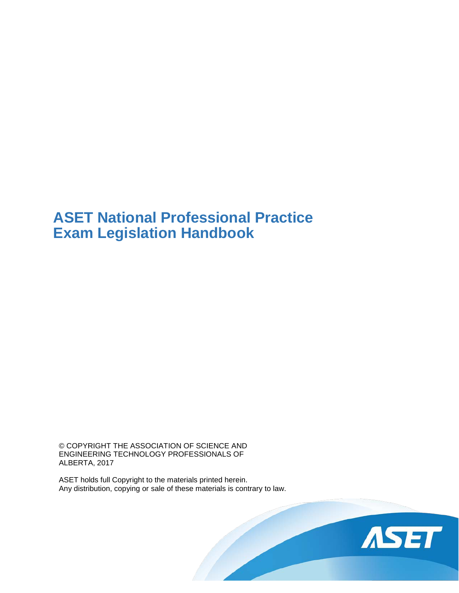## **ASET National Professional Practice Exam Legislation Handbook**

© COPYRIGHT THE ASSOCIATION OF SCIENCE AND ENGINEERING TECHNOLOGY PROFESSIONALS OF ALBERTA, 2017

ASET holds full Copyright to the materials printed herein. Any distribution, copying or sale of these materials is contrary to law.

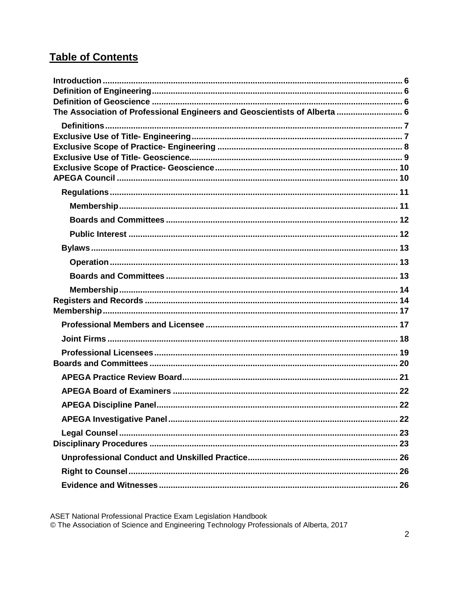## **Table of Contents**

| The Association of Professional Engineers and Geoscientists of Alberta  6 |  |
|---------------------------------------------------------------------------|--|
|                                                                           |  |
|                                                                           |  |
|                                                                           |  |
|                                                                           |  |
|                                                                           |  |
|                                                                           |  |
|                                                                           |  |
|                                                                           |  |
|                                                                           |  |
|                                                                           |  |
|                                                                           |  |
|                                                                           |  |
|                                                                           |  |
|                                                                           |  |
|                                                                           |  |
|                                                                           |  |
|                                                                           |  |
|                                                                           |  |
|                                                                           |  |
|                                                                           |  |
|                                                                           |  |
|                                                                           |  |
|                                                                           |  |
|                                                                           |  |
|                                                                           |  |
|                                                                           |  |
|                                                                           |  |
|                                                                           |  |
|                                                                           |  |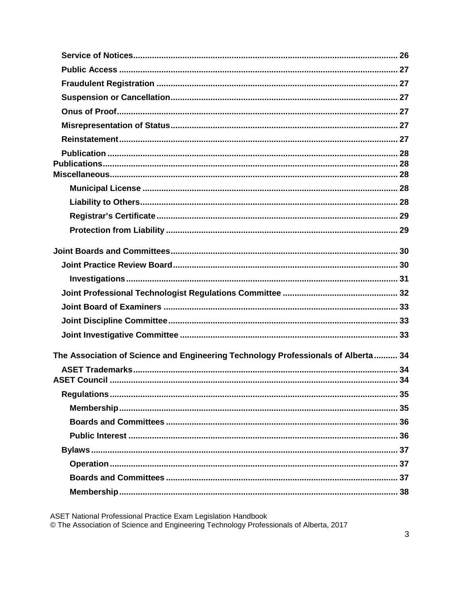| The Association of Science and Engineering Technology Professionals of Alberta 34 |  |
|-----------------------------------------------------------------------------------|--|
|                                                                                   |  |
|                                                                                   |  |
|                                                                                   |  |
|                                                                                   |  |
|                                                                                   |  |
|                                                                                   |  |
|                                                                                   |  |
|                                                                                   |  |
|                                                                                   |  |
|                                                                                   |  |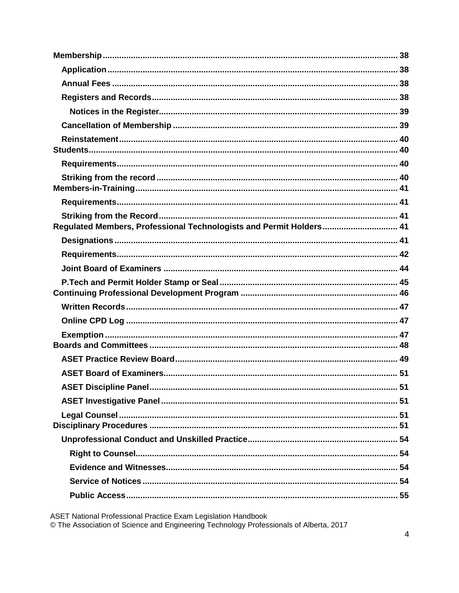| Regulated Members, Professional Technologists and Permit Holders 41 |  |
|---------------------------------------------------------------------|--|
|                                                                     |  |
|                                                                     |  |
|                                                                     |  |
|                                                                     |  |
|                                                                     |  |
|                                                                     |  |
|                                                                     |  |
|                                                                     |  |
|                                                                     |  |
|                                                                     |  |
|                                                                     |  |
|                                                                     |  |
|                                                                     |  |
|                                                                     |  |
|                                                                     |  |
|                                                                     |  |
|                                                                     |  |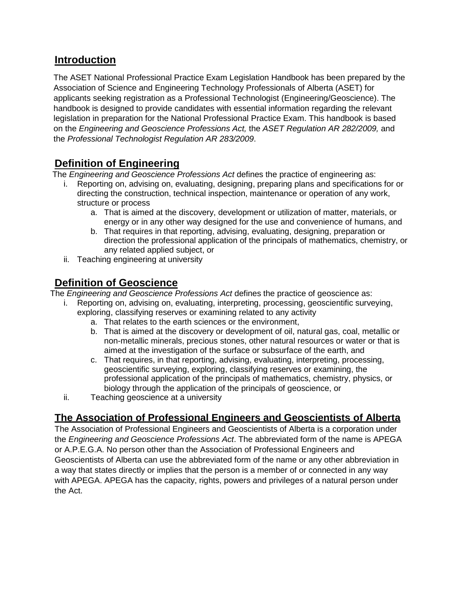## <span id="page-5-0"></span>**Introduction**

The ASET National Professional Practice Exam Legislation Handbook has been prepared by the Association of Science and Engineering Technology Professionals of Alberta (ASET) for applicants seeking registration as a Professional Technologist (Engineering/Geoscience). The handbook is designed to provide candidates with essential information regarding the relevant legislation in preparation for the National Professional Practice Exam. This handbook is based on the *Engineering and Geoscience Professions Act,* the *ASET Regulation AR 282/2009,* and the *Professional Technologist Regulation AR 283/2009*.

## <span id="page-5-1"></span>**Definition of Engineering**

The *Engineering and Geoscience Professions Act* defines the practice of engineering as:

- i. Reporting on, advising on, evaluating, designing, preparing plans and specifications for or directing the construction, technical inspection, maintenance or operation of any work, structure or process
	- a. That is aimed at the discovery, development or utilization of matter, materials, or energy or in any other way designed for the use and convenience of humans, and
	- b. That requires in that reporting, advising, evaluating, designing, preparation or direction the professional application of the principals of mathematics, chemistry, or any related applied subject, or
- ii. Teaching engineering at university

## <span id="page-5-2"></span>**Definition of Geoscience**

The *Engineering and Geoscience Professions Act* defines the practice of geoscience as:

- i. Reporting on, advising on, evaluating, interpreting, processing, geoscientific surveying, exploring, classifying reserves or examining related to any activity
	- a. That relates to the earth sciences or the environment,
	- b. That is aimed at the discovery or development of oil, natural gas, coal, metallic or non-metallic minerals, precious stones, other natural resources or water or that is aimed at the investigation of the surface or subsurface of the earth, and
	- c. That requires, in that reporting, advising, evaluating, interpreting, processing, geoscientific surveying, exploring, classifying reserves or examining, the professional application of the principals of mathematics, chemistry, physics, or biology through the application of the principals of geoscience, or
	- ii. Teaching geoscience at a university

## <span id="page-5-3"></span>**The Association of Professional Engineers and Geoscientists of Alberta**

<span id="page-5-4"></span>The Association of Professional Engineers and Geoscientists of Alberta is a corporation under the *Engineering and Geoscience Professions Act*. The abbreviated form of the name is APEGA or A.P.E.G.A. No person other than the Association of Professional Engineers and Geoscientists of Alberta can use the abbreviated form of the name or any other abbreviation in a way that states directly or implies that the person is a member of or connected in any way with APEGA. APEGA has the capacity, rights, powers and privileges of a natural person under the Act.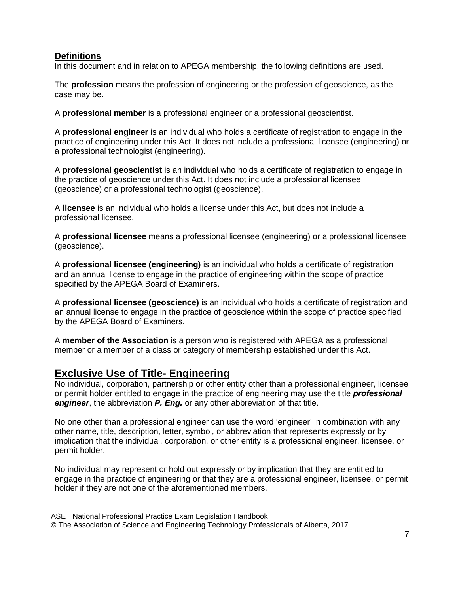#### **Definitions**

In this document and in relation to APEGA membership, the following definitions are used.

The **profession** means the profession of engineering or the profession of geoscience, as the case may be.

A **professional member** is a professional engineer or a professional geoscientist.

A **professional engineer** is an individual who holds a certificate of registration to engage in the practice of engineering under this Act. It does not include a professional licensee (engineering) or a professional technologist (engineering).

A **professional geoscientist** is an individual who holds a certificate of registration to engage in the practice of geoscience under this Act. It does not include a professional licensee (geoscience) or a professional technologist (geoscience).

A **licensee** is an individual who holds a license under this Act, but does not include a professional licensee.

A **professional licensee** means a professional licensee (engineering) or a professional licensee (geoscience).

A **professional licensee (engineering)** is an individual who holds a certificate of registration and an annual license to engage in the practice of engineering within the scope of practice specified by the APEGA Board of Examiners.

A **professional licensee (geoscience)** is an individual who holds a certificate of registration and an annual license to engage in the practice of geoscience within the scope of practice specified by the APEGA Board of Examiners.

A **member of the Association** is a person who is registered with APEGA as a professional member or a member of a class or category of membership established under this Act.

## <span id="page-6-0"></span>**Exclusive Use of Title- Engineering**

No individual, corporation, partnership or other entity other than a professional engineer, licensee or permit holder entitled to engage in the practice of engineering may use the title *professional engineer*, the abbreviation *P. Eng.* or any other abbreviation of that title.

No one other than a professional engineer can use the word 'engineer' in combination with any other name, title, description, letter, symbol, or abbreviation that represents expressly or by implication that the individual, corporation, or other entity is a professional engineer, licensee, or permit holder.

No individual may represent or hold out expressly or by implication that they are entitled to engage in the practice of engineering or that they are a professional engineer, licensee, or permit holder if they are not one of the aforementioned members.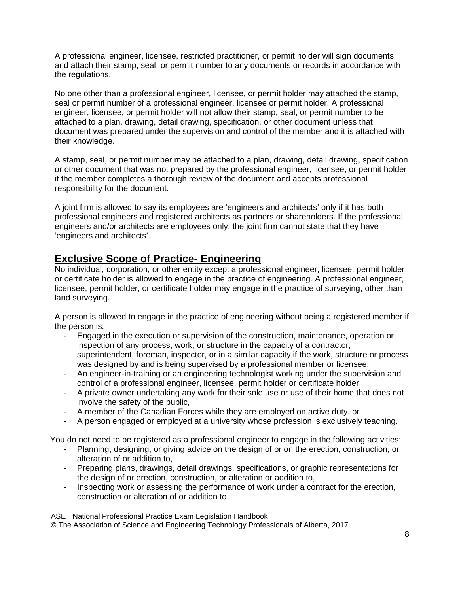A professional engineer, licensee, restricted practitioner, or permit holder will sign documents and attach their stamp, seal, or permit number to any documents or records in accordance with the regulations.

No one other than a professional engineer, licensee, or permit holder may attached the stamp, seal or permit number of a professional engineer, licensee or permit holder. A professional engineer, licensee, or permit holder will not allow their stamp, seal, or permit number to be attached to a plan, drawing, detail drawing, specification, or other document unless that document was prepared under the supervision and control of the member and it is attached with their knowledge.

A stamp, seal, or permit number may be attached to a plan, drawing, detail drawing, specification or other document that was not prepared by the professional engineer, licensee, or permit holder if the member completes a thorough review of the document and accepts professional responsibility for the document.

A joint firm is allowed to say its employees are 'engineers and architects' only if it has both professional engineers and registered architects as partners or shareholders. If the professional engineers and/or architects are employees only, the joint firm cannot state that they have 'engineers and architects'.

## <span id="page-7-0"></span>**Exclusive Scope of Practice- Engineering**

No individual, corporation, or other entity except a professional engineer, licensee, permit holder or certificate holder is allowed to engage in the practice of engineering. A professional engineer, licensee, permit holder, or certificate holder may engage in the practice of surveying, other than land surveying.

A person is allowed to engage in the practice of engineering without being a registered member if the person is:

- Engaged in the execution or supervision of the construction, maintenance, operation or inspection of any process, work, or structure in the capacity of a contractor, superintendent, foreman, inspector, or in a similar capacity if the work, structure or process was designed by and is being supervised by a professional member or licensee,
- An engineer-in-training or an engineering technologist working under the supervision and control of a professional engineer, licensee, permit holder or certificate holder
- A private owner undertaking any work for their sole use or use of their home that does not involve the safety of the public,
- A member of the Canadian Forces while they are employed on active duty, or
- A person engaged or employed at a university whose profession is exclusively teaching.

You do not need to be registered as a professional engineer to engage in the following activities:

- Planning, designing, or giving advice on the design of or on the erection, construction, or alteration of or addition to,
- Preparing plans, drawings, detail drawings, specifications, or graphic representations for the design of or erection, construction, or alteration or addition to,
- Inspecting work or assessing the performance of work under a contract for the erection, construction or alteration of or addition to,

ASET National Professional Practice Exam Legislation Handbook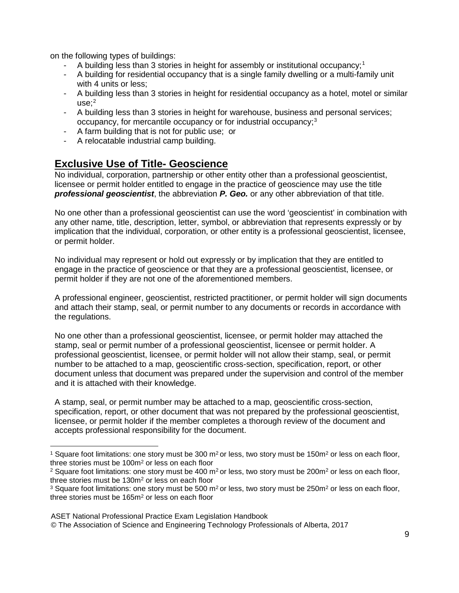on the following types of buildings:

- A building less than 3 stories in height for assembly or institutional occupancy;<sup>[1](#page-8-1)</sup>
- A building for residential occupancy that is a single family dwelling or a multi-family unit with 4 units or less;
- A building less than 3 stories in height for residential occupancy as a hotel, motel or similar use; [2](#page-8-2)
- A building less than 3 stories in height for warehouse, business and personal services; occupancy, for mercantile occupancy or for industrial occupancy;<sup>[3](#page-8-3)</sup>
- A farm building that is not for public use; or
- A relocatable industrial camp building.

## <span id="page-8-0"></span>**Exclusive Use of Title- Geoscience**

No individual, corporation, partnership or other entity other than a professional geoscientist, licensee or permit holder entitled to engage in the practice of geoscience may use the title *professional geoscientist*, the abbreviation *P. Geo.* or any other abbreviation of that title.

No one other than a professional geoscientist can use the word 'geoscientist' in combination with any other name, title, description, letter, symbol, or abbreviation that represents expressly or by implication that the individual, corporation, or other entity is a professional geoscientist, licensee, or permit holder.

No individual may represent or hold out expressly or by implication that they are entitled to engage in the practice of geoscience or that they are a professional geoscientist, licensee, or permit holder if they are not one of the aforementioned members.

A professional engineer, geoscientist, restricted practitioner, or permit holder will sign documents and attach their stamp, seal, or permit number to any documents or records in accordance with the regulations.

No one other than a professional geoscientist, licensee, or permit holder may attached the stamp, seal or permit number of a professional geoscientist, licensee or permit holder. A professional geoscientist, licensee, or permit holder will not allow their stamp, seal, or permit number to be attached to a map, geoscientific cross-section, specification, report, or other document unless that document was prepared under the supervision and control of the member and it is attached with their knowledge.

A stamp, seal, or permit number may be attached to a map, geoscientific cross-section, specification, report, or other document that was not prepared by the professional geoscientist, licensee, or permit holder if the member completes a thorough review of the document and accepts professional responsibility for the document.

<span id="page-8-1"></span><sup>&</sup>lt;sup>1</sup> Square foot limitations: one story must be 300 m<sup>2</sup> or less, two story must be 150m<sup>2</sup> or less on each floor, three stories must be 100m2 or less on each floor

<span id="page-8-2"></span><sup>&</sup>lt;sup>2</sup> Square foot limitations: one story must be 400 m<sup>2</sup> or less, two story must be 200m<sup>2</sup> or less on each floor, three stories must be 130m2 or less on each floor

<span id="page-8-3"></span><sup>&</sup>lt;sup>3</sup> Square foot limitations: one story must be 500 m<sup>2</sup> or less, two story must be 250m<sup>2</sup> or less on each floor, three stories must be 165m2 or less on each floor

ASET National Professional Practice Exam Legislation Handbook

<sup>©</sup> The Association of Science and Engineering Technology Professionals of Alberta, 2017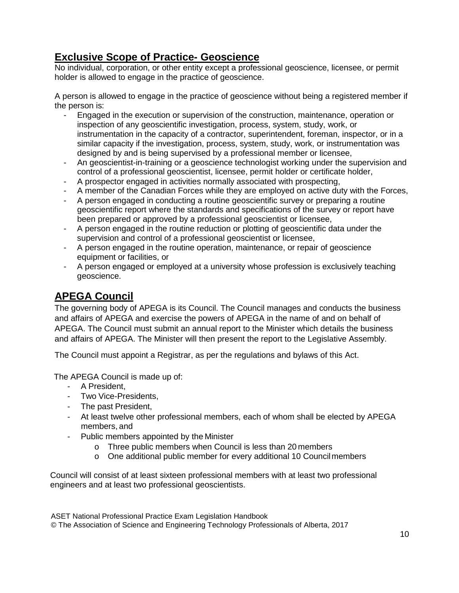## <span id="page-9-0"></span>**Exclusive Scope of Practice- Geoscience**

No individual, corporation, or other entity except a professional geoscience, licensee, or permit holder is allowed to engage in the practice of geoscience.

A person is allowed to engage in the practice of geoscience without being a registered member if the person is:

- Engaged in the execution or supervision of the construction, maintenance, operation or inspection of any geoscientific investigation, process, system, study, work, or instrumentation in the capacity of a contractor, superintendent, foreman, inspector, or in a similar capacity if the investigation, process, system, study, work, or instrumentation was designed by and is being supervised by a professional member or licensee,
- An geoscientist-in-training or a geoscience technologist working under the supervision and control of a professional geoscientist, licensee, permit holder or certificate holder,
- A prospector engaged in activities normally associated with prospecting,
- A member of the Canadian Forces while they are employed on active duty with the Forces,
- A person engaged in conducting a routine geoscientific survey or preparing a routine geoscientific report where the standards and specifications of the survey or report have been prepared or approved by a professional geoscientist or licensee,
- A person engaged in the routine reduction or plotting of geoscientific data under the supervision and control of a professional geoscientist or licensee,
- A person engaged in the routine operation, maintenance, or repair of geoscience equipment or facilities, or
- A person engaged or employed at a university whose profession is exclusively teaching geoscience.

## <span id="page-9-1"></span>**APEGA Council**

The governing body of APEGA is its Council. The Council manages and conducts the business and affairs of APEGA and exercise the powers of APEGA in the name of and on behalf of APEGA. The Council must submit an annual report to the Minister which details the business and affairs of APEGA. The Minister will then present the report to the Legislative Assembly.

The Council must appoint a Registrar, as per the regulations and bylaws of this Act.

The APEGA Council is made up of:

- A President,
- Two Vice-Presidents,
- The past President,
- At least twelve other professional members, each of whom shall be elected by APEGA members, and
- Public members appointed by the Minister
	- o Three public members when Council is less than 20 members
	- o One additional public member for every additional 10 Councilmembers

Council will consist of at least sixteen professional members with at least two professional engineers and at least two professional geoscientists.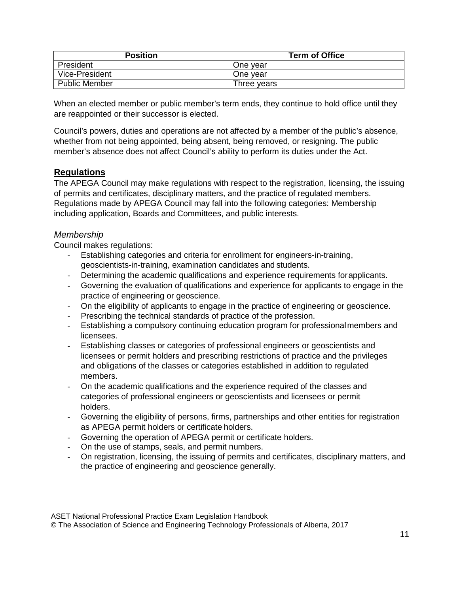| <b>Position</b>      | <b>Term of Office</b> |
|----------------------|-----------------------|
| President            | One year              |
| Vice-President       | One year              |
| <b>Public Member</b> | Three years           |

When an elected member or public member's term ends, they continue to hold office until they are reappointed or their successor is elected.

Council's powers, duties and operations are not affected by a member of the public's absence, whether from not being appointed, being absent, being removed, or resigning. The public member's absence does not affect Council's ability to perform its duties under the Act.

#### <span id="page-10-0"></span>**Regulations**

The APEGA Council may make regulations with respect to the registration, licensing, the issuing of permits and certificates, disciplinary matters, and the practice of regulated members. Regulations made by APEGA Council may fall into the following categories: Membership including application, Boards and Committees, and public interests.

#### <span id="page-10-1"></span>*Membership*

Council makes regulations:

- Establishing categories and criteria for enrollment for engineers-in-training, geoscientists-in-training, examination candidates and students.
- Determining the academic qualifications and experience requirements forapplicants.
- Governing the evaluation of qualifications and experience for applicants to engage in the practice of engineering or geoscience.
- On the eligibility of applicants to engage in the practice of engineering or geoscience.
- Prescribing the technical standards of practice of the profession.
- Establishing a compulsory continuing education program for professionalmembers and licensees.
- Establishing classes or categories of professional engineers or geoscientists and licensees or permit holders and prescribing restrictions of practice and the privileges and obligations of the classes or categories established in addition to regulated members.
- On the academic qualifications and the experience required of the classes and categories of professional engineers or geoscientists and licensees or permit holders.
- Governing the eligibility of persons, firms, partnerships and other entities for registration as APEGA permit holders or certificate holders.
- Governing the operation of APEGA permit or certificate holders.
- On the use of stamps, seals, and permit numbers.
- On registration, licensing, the issuing of permits and certificates, disciplinary matters, and the practice of engineering and geoscience generally.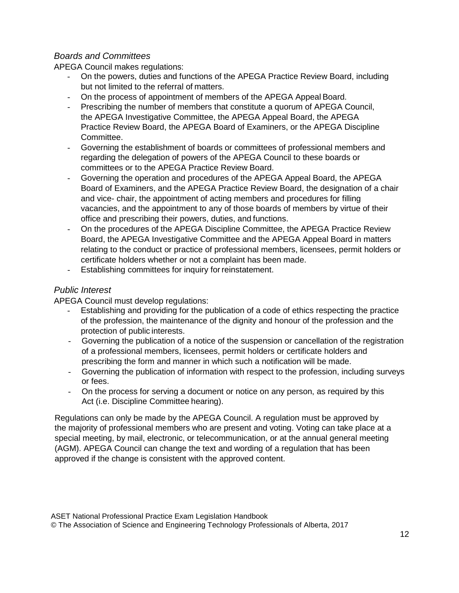#### <span id="page-11-0"></span>*Boards and Committees*

APEGA Council makes regulations:

- On the powers, duties and functions of the APEGA Practice Review Board, including but not limited to the referral of matters.
- On the process of appointment of members of the APEGA Appeal Board.
- Prescribing the number of members that constitute a quorum of APEGA Council, the APEGA Investigative Committee, the APEGA Appeal Board, the APEGA Practice Review Board, the APEGA Board of Examiners, or the APEGA Discipline Committee.
- Governing the establishment of boards or committees of professional members and regarding the delegation of powers of the APEGA Council to these boards or committees or to the APEGA Practice Review Board.
- Governing the operation and procedures of the APEGA Appeal Board, the APEGA Board of Examiners, and the APEGA Practice Review Board, the designation of a chair and vice- chair, the appointment of acting members and procedures for filling vacancies, and the appointment to any of those boards of members by virtue of their office and prescribing their powers, duties, and functions.
- On the procedures of the APEGA Discipline Committee, the APEGA Practice Review Board, the APEGA Investigative Committee and the APEGA Appeal Board in matters relating to the conduct or practice of professional members, licensees, permit holders or certificate holders whether or not a complaint has been made.
- Establishing committees for inquiry for reinstatement.

#### <span id="page-11-1"></span>*Public Interest*

APEGA Council must develop regulations:

- Establishing and providing for the publication of a code of ethics respecting the practice of the profession, the maintenance of the dignity and honour of the profession and the protection of public interests.
- Governing the publication of a notice of the suspension or cancellation of the registration of a professional members, licensees, permit holders or certificate holders and prescribing the form and manner in which such a notification will be made.
- Governing the publication of information with respect to the profession, including surveys or fees.
- On the process for serving a document or notice on any person, as required by this Act (i.e. Discipline Committee hearing).

Regulations can only be made by the APEGA Council. A regulation must be approved by the majority of professional members who are present and voting. Voting can take place at a special meeting, by mail, electronic, or telecommunication, or at the annual general meeting (AGM). APEGA Council can change the text and wording of a regulation that has been approved if the change is consistent with the approved content.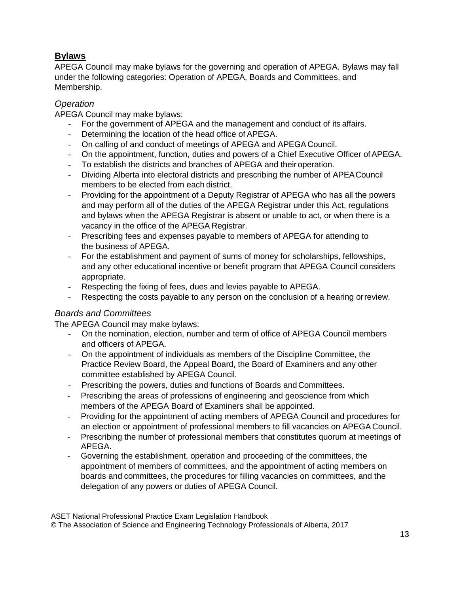## <span id="page-12-0"></span>**Bylaws**

APEGA Council may make bylaws for the governing and operation of APEGA. Bylaws may fall under the following categories: Operation of APEGA, Boards and Committees, and Membership.

#### <span id="page-12-1"></span>*Operation*

APEGA Council may make bylaws:

- For the government of APEGA and the management and conduct of its affairs.
- Determining the location of the head office of APEGA.
- On calling of and conduct of meetings of APEGA and APEGA Council.
- On the appointment, function, duties and powers of a Chief Executive Officer of APEGA.
- To establish the districts and branches of APEGA and their operation.
- Dividing Alberta into electoral districts and prescribing the number of APEACouncil members to be elected from each district.
- Providing for the appointment of a Deputy Registrar of APEGA who has all the powers and may perform all of the duties of the APEGA Registrar under this Act, regulations and bylaws when the APEGA Registrar is absent or unable to act, or when there is a vacancy in the office of the APEGA Registrar.
- Prescribing fees and expenses payable to members of APEGA for attending to the business of APEGA.
- For the establishment and payment of sums of money for scholarships, fellowships, and any other educational incentive or benefit program that APEGA Council considers appropriate.
- Respecting the fixing of fees, dues and levies payable to APEGA.
- Respecting the costs payable to any person on the conclusion of a hearing orreview.

#### <span id="page-12-2"></span>*Boards and Committees*

The APEGA Council may make bylaws:

- On the nomination, election, number and term of office of APEGA Council members and officers of APEGA.
- On the appointment of individuals as members of the Discipline Committee, the Practice Review Board, the Appeal Board, the Board of Examiners and any other committee established by APEGA Council.
- Prescribing the powers, duties and functions of Boards and Committees.
- Prescribing the areas of professions of engineering and geoscience from which members of the APEGA Board of Examiners shall be appointed.
- Providing for the appointment of acting members of APEGA Council and procedures for an election or appointment of professional members to fill vacancies on APEGA Council.
- Prescribing the number of professional members that constitutes quorum at meetings of APEGA.
- Governing the establishment, operation and proceeding of the committees, the appointment of members of committees, and the appointment of acting members on boards and committees, the procedures for filling vacancies on committees, and the delegation of any powers or duties of APEGA Council.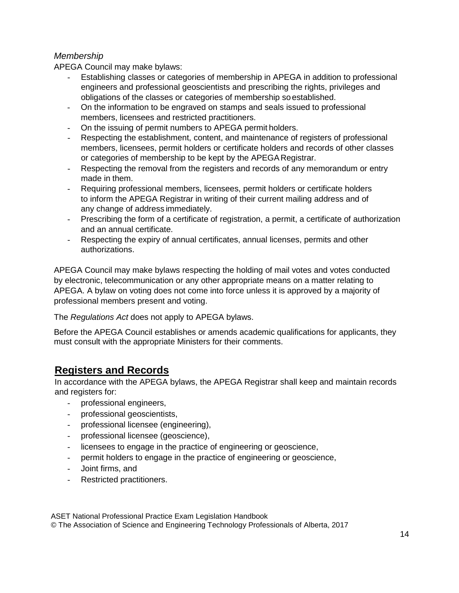#### <span id="page-13-0"></span>*Membership*

APEGA Council may make bylaws:

- Establishing classes or categories of membership in APEGA in addition to professional engineers and professional geoscientists and prescribing the rights, privileges and obligations of the classes or categories of membership so established.
- On the information to be engraved on stamps and seals issued to professional members, licensees and restricted practitioners.
- On the issuing of permit numbers to APEGA permit holders.
- Respecting the establishment, content, and maintenance of registers of professional members, licensees, permit holders or certificate holders and records of other classes or categories of membership to be kept by the APEGARegistrar.
- Respecting the removal from the registers and records of any memorandum or entry made in them.
- Requiring professional members, licensees, permit holders or certificate holders to inform the APEGA Registrar in writing of their current mailing address and of any change of address immediately.
- Prescribing the form of a certificate of registration, a permit, a certificate of authorization and an annual certificate.
- Respecting the expiry of annual certificates, annual licenses, permits and other authorizations.

APEGA Council may make bylaws respecting the holding of mail votes and votes conducted by electronic, telecommunication or any other appropriate means on a matter relating to APEGA. A bylaw on voting does not come into force unless it is approved by a majority of professional members present and voting.

The *Regulations Act* does not apply to APEGA bylaws.

Before the APEGA Council establishes or amends academic qualifications for applicants, they must consult with the appropriate Ministers for their comments.

## <span id="page-13-1"></span>**Registers and Records**

In accordance with the APEGA bylaws, the APEGA Registrar shall keep and maintain records and registers for:

- professional engineers,
- professional geoscientists,
- professional licensee (engineering),
- professional licensee (geoscience),
- licensees to engage in the practice of engineering or geoscience,
- permit holders to engage in the practice of engineering or geoscience,
- Joint firms, and
- Restricted practitioners.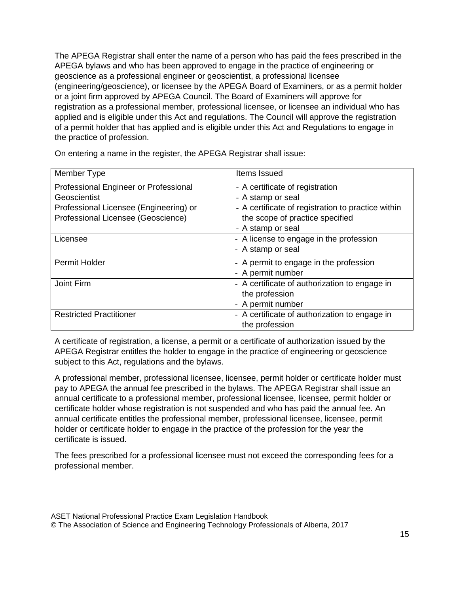The APEGA Registrar shall enter the name of a person who has paid the fees prescribed in the APEGA bylaws and who has been approved to engage in the practice of engineering or geoscience as a professional engineer or geoscientist, a professional licensee (engineering/geoscience), or licensee by the APEGA Board of Examiners, or as a permit holder or a joint firm approved by APEGA Council. The Board of Examiners will approve for registration as a professional member, professional licensee, or licensee an individual who has applied and is eligible under this Act and regulations. The Council will approve the registration of a permit holder that has applied and is eligible under this Act and Regulations to engage in the practice of profession.

| Member Type                            | Items Issued                                       |
|----------------------------------------|----------------------------------------------------|
| Professional Engineer or Professional  | - A certificate of registration                    |
| Geoscientist                           | - A stamp or seal                                  |
| Professional Licensee (Engineering) or | - A certificate of registration to practice within |
| Professional Licensee (Geoscience)     | the scope of practice specified                    |
|                                        | - A stamp or seal                                  |
| Licensee                               | - A license to engage in the profession            |
|                                        | - A stamp or seal                                  |
| Permit Holder                          | - A permit to engage in the profession             |
|                                        | - A permit number                                  |
| Joint Firm                             | - A certificate of authorization to engage in      |
|                                        | the profession                                     |
|                                        | - A permit number                                  |
| <b>Restricted Practitioner</b>         | - A certificate of authorization to engage in      |
|                                        | the profession                                     |

On entering a name in the register, the APEGA Registrar shall issue:

A certificate of registration, a license, a permit or a certificate of authorization issued by the APEGA Registrar entitles the holder to engage in the practice of engineering or geoscience subject to this Act, regulations and the bylaws.

A professional member, professional licensee, licensee, permit holder or certificate holder must pay to APEGA the annual fee prescribed in the bylaws. The APEGA Registrar shall issue an annual certificate to a professional member, professional licensee, licensee, permit holder or certificate holder whose registration is not suspended and who has paid the annual fee. An annual certificate entitles the professional member, professional licensee, licensee, permit holder or certificate holder to engage in the practice of the profession for the year the certificate is issued.

The fees prescribed for a professional licensee must not exceed the corresponding fees for a professional member.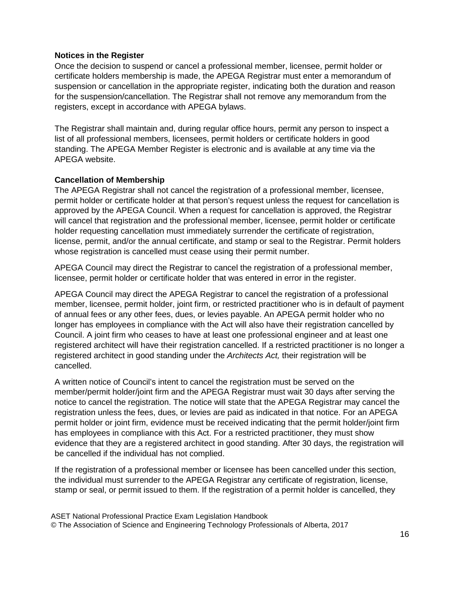#### **Notices in the Register**

Once the decision to suspend or cancel a professional member, licensee, permit holder or certificate holders membership is made, the APEGA Registrar must enter a memorandum of suspension or cancellation in the appropriate register, indicating both the duration and reason for the suspension/cancellation. The Registrar shall not remove any memorandum from the registers, except in accordance with APEGA bylaws.

The Registrar shall maintain and, during regular office hours, permit any person to inspect a list of all professional members, licensees, permit holders or certificate holders in good standing. The APEGA Member Register is electronic and is available at any time via the APEGA website.

#### **Cancellation of Membership**

The APEGA Registrar shall not cancel the registration of a professional member, licensee, permit holder or certificate holder at that person's request unless the request for cancellation is approved by the APEGA Council. When a request for cancellation is approved, the Registrar will cancel that registration and the professional member, licensee, permit holder or certificate holder requesting cancellation must immediately surrender the certificate of registration, license, permit, and/or the annual certificate, and stamp or seal to the Registrar. Permit holders whose registration is cancelled must cease using their permit number.

APEGA Council may direct the Registrar to cancel the registration of a professional member, licensee, permit holder or certificate holder that was entered in error in the register.

APEGA Council may direct the APEGA Registrar to cancel the registration of a professional member, licensee, permit holder, joint firm, or restricted practitioner who is in default of payment of annual fees or any other fees, dues, or levies payable. An APEGA permit holder who no longer has employees in compliance with the Act will also have their registration cancelled by Council. A joint firm who ceases to have at least one professional engineer and at least one registered architect will have their registration cancelled. If a restricted practitioner is no longer a registered architect in good standing under the *Architects Act,* their registration will be cancelled.

A written notice of Council's intent to cancel the registration must be served on the member/permit holder/joint firm and the APEGA Registrar must wait 30 days after serving the notice to cancel the registration. The notice will state that the APEGA Registrar may cancel the registration unless the fees, dues, or levies are paid as indicated in that notice. For an APEGA permit holder or joint firm, evidence must be received indicating that the permit holder/joint firm has employees in compliance with this Act. For a restricted practitioner, they must show evidence that they are a registered architect in good standing. After 30 days, the registration will be cancelled if the individual has not complied.

If the registration of a professional member or licensee has been cancelled under this section, the individual must surrender to the APEGA Registrar any certificate of registration, license, stamp or seal, or permit issued to them. If the registration of a permit holder is cancelled, they

ASET National Professional Practice Exam Legislation Handbook © The Association of Science and Engineering Technology Professionals of Alberta, 2017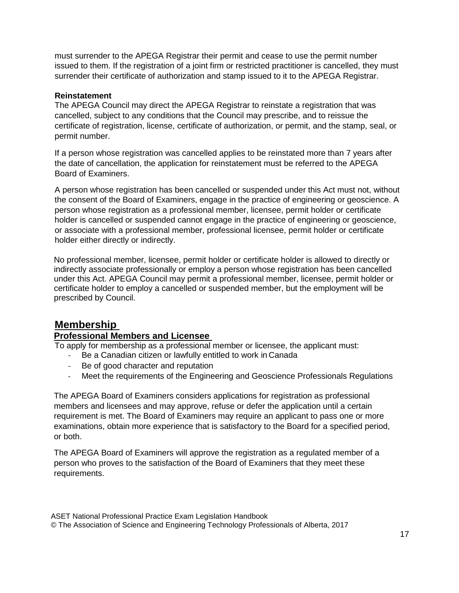must surrender to the APEGA Registrar their permit and cease to use the permit number issued to them. If the registration of a joint firm or restricted practitioner is cancelled, they must surrender their certificate of authorization and stamp issued to it to the APEGA Registrar.

#### **Reinstatement**

The APEGA Council may direct the APEGA Registrar to reinstate a registration that was cancelled, subject to any conditions that the Council may prescribe, and to reissue the certificate of registration, license, certificate of authorization, or permit, and the stamp, seal, or permit number.

If a person whose registration was cancelled applies to be reinstated more than 7 years after the date of cancellation, the application for reinstatement must be referred to the APEGA Board of Examiners.

A person whose registration has been cancelled or suspended under this Act must not, without the consent of the Board of Examiners, engage in the practice of engineering or geoscience. A person whose registration as a professional member, licensee, permit holder or certificate holder is cancelled or suspended cannot engage in the practice of engineering or geoscience, or associate with a professional member, professional licensee, permit holder or certificate holder either directly or indirectly.

No professional member, licensee, permit holder or certificate holder is allowed to directly or indirectly associate professionally or employ a person whose registration has been cancelled under this Act. APEGA Council may permit a professional member, licensee, permit holder or certificate holder to employ a cancelled or suspended member, but the employment will be prescribed by Council.

#### <span id="page-16-0"></span>**Membership Professional Members and Licensee**

<span id="page-16-1"></span>To apply for membership as a professional member or licensee, the applicant must:

- Be a Canadian citizen or lawfully entitled to work in Canada
- Be of good character and reputation
- Meet the requirements of the Engineering and Geoscience Professionals Regulations

The APEGA Board of Examiners considers applications for registration as professional members and licensees and may approve, refuse or defer the application until a certain requirement is met. The Board of Examiners may require an applicant to pass one or more examinations, obtain more experience that is satisfactory to the Board for a specified period, or both.

The APEGA Board of Examiners will approve the registration as a regulated member of a person who proves to the satisfaction of the Board of Examiners that they meet these requirements.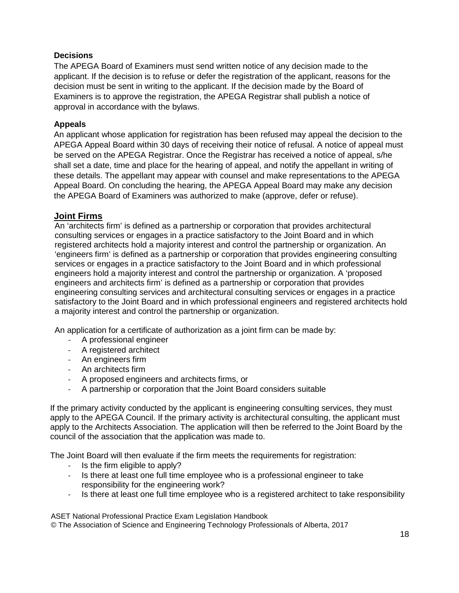#### **Decisions**

The APEGA Board of Examiners must send written notice of any decision made to the applicant. If the decision is to refuse or defer the registration of the applicant, reasons for the decision must be sent in writing to the applicant. If the decision made by the Board of Examiners is to approve the registration, the APEGA Registrar shall publish a notice of approval in accordance with the bylaws.

#### **Appeals**

An applicant whose application for registration has been refused may appeal the decision to the APEGA Appeal Board within 30 days of receiving their notice of refusal. A notice of appeal must be served on the APEGA Registrar. Once the Registrar has received a notice of appeal, s/he shall set a date, time and place for the hearing of appeal, and notify the appellant in writing of these details. The appellant may appear with counsel and make representations to the APEGA Appeal Board. On concluding the hearing, the APEGA Appeal Board may make any decision the APEGA Board of Examiners was authorized to make (approve, defer or refuse).

#### <span id="page-17-0"></span>**Joint Firms**

An 'architects firm' is defined as a partnership or corporation that provides architectural consulting services or engages in a practice satisfactory to the Joint Board and in which registered architects hold a majority interest and control the partnership or organization. An 'engineers firm' is defined as a partnership or corporation that provides engineering consulting services or engages in a practice satisfactory to the Joint Board and in which professional engineers hold a majority interest and control the partnership or organization. A 'proposed engineers and architects firm' is defined as a partnership or corporation that provides engineering consulting services and architectural consulting services or engages in a practice satisfactory to the Joint Board and in which professional engineers and registered architects hold a majority interest and control the partnership or organization.

An application for a certificate of authorization as a joint firm can be made by:

- A professional engineer
- A registered architect
- An engineers firm
- An architects firm
- A proposed engineers and architects firms, or
- A partnership or corporation that the Joint Board considers suitable

If the primary activity conducted by the applicant is engineering consulting services, they must apply to the APEGA Council. If the primary activity is architectural consulting, the applicant must apply to the Architects Association. The application will then be referred to the Joint Board by the council of the association that the application was made to.

The Joint Board will then evaluate if the firm meets the requirements for registration:

- Is the firm eligible to apply?
- Is there at least one full time employee who is a professional engineer to take responsibility for the engineering work?
- Is there at least one full time employee who is a registered architect to take responsibility

ASET National Professional Practice Exam Legislation Handbook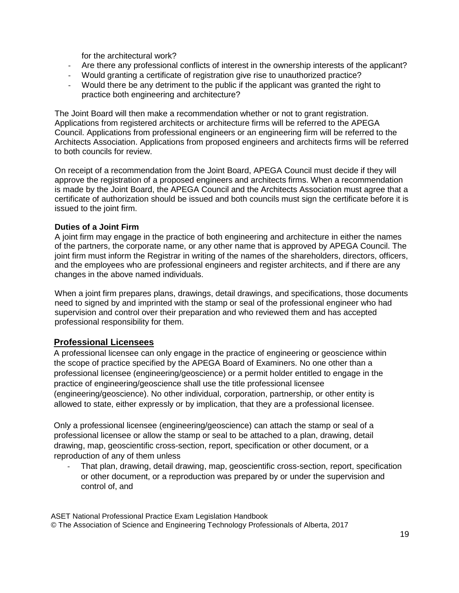for the architectural work?

- Are there any professional conflicts of interest in the ownership interests of the applicant?
- Would granting a certificate of registration give rise to unauthorized practice?
- Would there be any detriment to the public if the applicant was granted the right to practice both engineering and architecture?

The Joint Board will then make a recommendation whether or not to grant registration. Applications from registered architects or architecture firms will be referred to the APEGA Council. Applications from professional engineers or an engineering firm will be referred to the Architects Association. Applications from proposed engineers and architects firms will be referred to both councils for review.

On receipt of a recommendation from the Joint Board, APEGA Council must decide if they will approve the registration of a proposed engineers and architects firms. When a recommendation is made by the Joint Board, the APEGA Council and the Architects Association must agree that a certificate of authorization should be issued and both councils must sign the certificate before it is issued to the joint firm.

#### **Duties of a Joint Firm**

A joint firm may engage in the practice of both engineering and architecture in either the names of the partners, the corporate name, or any other name that is approved by APEGA Council. The joint firm must inform the Registrar in writing of the names of the shareholders, directors, officers, and the employees who are professional engineers and register architects, and if there are any changes in the above named individuals.

When a joint firm prepares plans, drawings, detail drawings, and specifications, those documents need to signed by and imprinted with the stamp or seal of the professional engineer who had supervision and control over their preparation and who reviewed them and has accepted professional responsibility for them.

#### <span id="page-18-0"></span>**Professional Licensees**

A professional licensee can only engage in the practice of engineering or geoscience within the scope of practice specified by the APEGA Board of Examiners. No one other than a professional licensee (engineering/geoscience) or a permit holder entitled to engage in the practice of engineering/geoscience shall use the title professional licensee (engineering/geoscience). No other individual, corporation, partnership, or other entity is allowed to state, either expressly or by implication, that they are a professional licensee.

Only a professional licensee (engineering/geoscience) can attach the stamp or seal of a professional licensee or allow the stamp or seal to be attached to a plan, drawing, detail drawing, map, geoscientific cross-section, report, specification or other document, or a reproduction of any of them unless

- That plan, drawing, detail drawing, map, geoscientific cross-section, report, specification or other document, or a reproduction was prepared by or under the supervision and control of, and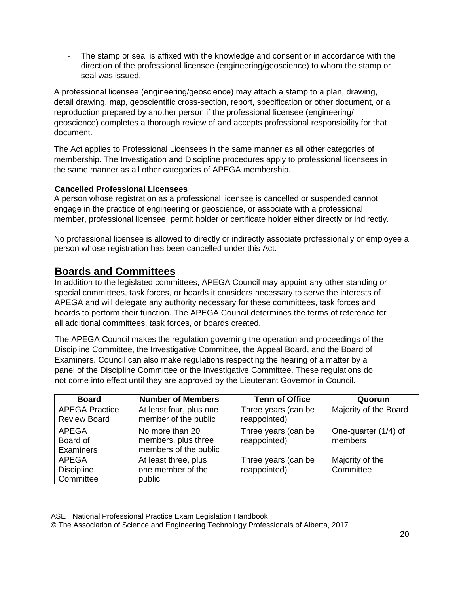The stamp or seal is affixed with the knowledge and consent or in accordance with the direction of the professional licensee (engineering/geoscience) to whom the stamp or seal was issued.

A professional licensee (engineering/geoscience) may attach a stamp to a plan, drawing, detail drawing, map, geoscientific cross-section, report, specification or other document, or a reproduction prepared by another person if the professional licensee (engineering/ geoscience) completes a thorough review of and accepts professional responsibility for that document.

The Act applies to Professional Licensees in the same manner as all other categories of membership. The Investigation and Discipline procedures apply to professional licensees in the same manner as all other categories of APEGA membership.

#### **Cancelled Professional Licensees**

A person whose registration as a professional licensee is cancelled or suspended cannot engage in the practice of engineering or geoscience, or associate with a professional member, professional licensee, permit holder or certificate holder either directly or indirectly.

No professional licensee is allowed to directly or indirectly associate professionally or employee a person whose registration has been cancelled under this Act.

#### <span id="page-19-0"></span>**Boards and Committees**

In addition to the legislated committees, APEGA Council may appoint any other standing or special committees, task forces, or boards it considers necessary to serve the interests of APEGA and will delegate any authority necessary for these committees, task forces and boards to perform their function. The APEGA Council determines the terms of reference for all additional committees, task forces, or boards created.

The APEGA Council makes the regulation governing the operation and proceedings of the Discipline Committee, the Investigative Committee, the Appeal Board, and the Board of Examiners. Council can also make regulations respecting the hearing of a matter by a panel of the Discipline Committee or the Investigative Committee. These regulations do not come into effect until they are approved by the Lieutenant Governor in Council.

| <b>Board</b>                                   | <b>Number of Members</b>                                        | <b>Term of Office</b>               | Quorum                          |
|------------------------------------------------|-----------------------------------------------------------------|-------------------------------------|---------------------------------|
| <b>APEGA Practice</b><br><b>Review Board</b>   | At least four, plus one<br>member of the public                 | Three years (can be<br>reappointed) | Majority of the Board           |
| <b>APEGA</b><br>Board of<br>Examiners          | No more than 20<br>members, plus three<br>members of the public | Three years (can be<br>reappointed) | One-quarter (1/4) of<br>members |
| <b>APEGA</b><br><b>Discipline</b><br>Committee | At least three, plus<br>one member of the<br>public             | Three years (can be<br>reappointed) | Majority of the<br>Committee    |

ASET National Professional Practice Exam Legislation Handbook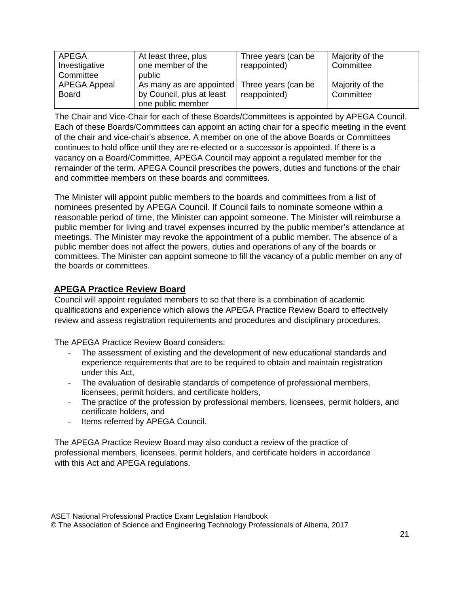| APEGA<br>Investigative | At least three, plus<br>one member of the | Three years (can be<br>reappointed) | Majority of the<br>Committee |
|------------------------|-------------------------------------------|-------------------------------------|------------------------------|
| Committee              | public                                    |                                     |                              |
| <b>APEGA Appeal</b>    | As many as are appointed                  | Three years (can be                 | Majority of the              |
| <b>Board</b>           | by Council, plus at least                 | reappointed)                        | Committee                    |
|                        | one public member                         |                                     |                              |

The Chair and Vice-Chair for each of these Boards/Committees is appointed by APEGA Council. Each of these Boards/Committees can appoint an acting chair for a specific meeting in the event of the chair and vice-chair's absence. A member on one of the above Boards or Committees continues to hold office until they are re-elected or a successor is appointed. If there is a vacancy on a Board/Committee, APEGA Council may appoint a regulated member for the remainder of the term. APEGA Council prescribes the powers, duties and functions of the chair and committee members on these boards and committees.

The Minister will appoint public members to the boards and committees from a list of nominees presented by APEGA Council. If Council fails to nominate someone within a reasonable period of time, the Minister can appoint someone. The Minister will reimburse a public member for living and travel expenses incurred by the public member's attendance at meetings. The Minister may revoke the appointment of a public member. The absence of a public member does not affect the powers, duties and operations of any of the boards or committees. The Minister can appoint someone to fill the vacancy of a public member on any of the boards or committees.

#### <span id="page-20-0"></span>**APEGA Practice Review Board**

Council will appoint regulated members to so that there is a combination of academic qualifications and experience which allows the APEGA Practice Review Board to effectively review and assess registration requirements and procedures and disciplinary procedures.

The APEGA Practice Review Board considers:

- The assessment of existing and the development of new educational standards and experience requirements that are to be required to obtain and maintain registration under this Act,
- The evaluation of desirable standards of competence of professional members, licensees, permit holders, and certificate holders,
- The practice of the profession by professional members, licensees, permit holders, and certificate holders, and
- Items referred by APEGA Council.

The APEGA Practice Review Board may also conduct a review of the practice of professional members, licensees, permit holders, and certificate holders in accordance with this Act and APEGA regulations.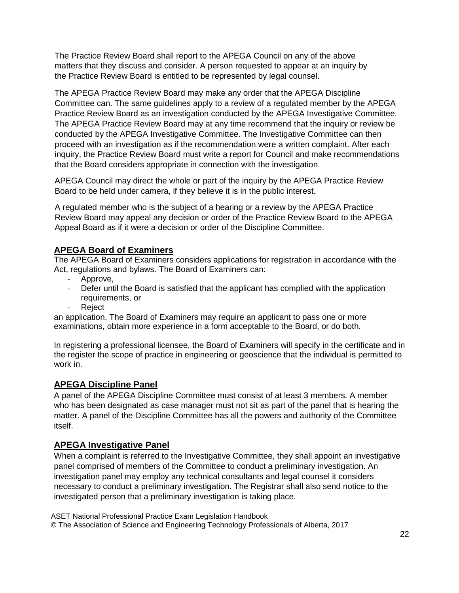The Practice Review Board shall report to the APEGA Council on any of the above matters that they discuss and consider. A person requested to appear at an inquiry by the Practice Review Board is entitled to be represented by legal counsel.

The APEGA Practice Review Board may make any order that the APEGA Discipline Committee can. The same guidelines apply to a review of a regulated member by the APEGA Practice Review Board as an investigation conducted by the APEGA Investigative Committee. The APEGA Practice Review Board may at any time recommend that the inquiry or review be conducted by the APEGA Investigative Committee. The Investigative Committee can then proceed with an investigation as if the recommendation were a written complaint. After each inquiry, the Practice Review Board must write a report for Council and make recommendations that the Board considers appropriate in connection with the investigation.

APEGA Council may direct the whole or part of the inquiry by the APEGA Practice Review Board to be held under camera, if they believe it is in the public interest.

A regulated member who is the subject of a hearing or a review by the APEGA Practice Review Board may appeal any decision or order of the Practice Review Board to the APEGA Appeal Board as if it were a decision or order of the Discipline Committee.

#### <span id="page-21-0"></span>**APEGA Board of Examiners**

The APEGA Board of Examiners considers applications for registration in accordance with the Act, regulations and bylaws. The Board of Examiners can:

- Approve,
- Defer until the Board is satisfied that the applicant has complied with the application requirements, or
- Reject

an application. The Board of Examiners may require an applicant to pass one or more examinations, obtain more experience in a form acceptable to the Board, or do both.

In registering a professional licensee, the Board of Examiners will specify in the certificate and in the register the scope of practice in engineering or geoscience that the individual is permitted to work in.

#### <span id="page-21-1"></span>**APEGA Discipline Panel**

A panel of the APEGA Discipline Committee must consist of at least 3 members. A member who has been designated as case manager must not sit as part of the panel that is hearing the matter. A panel of the Discipline Committee has all the powers and authority of the Committee itself.

#### <span id="page-21-2"></span>**APEGA Investigative Panel**

When a complaint is referred to the Investigative Committee, they shall appoint an investigative panel comprised of members of the Committee to conduct a preliminary investigation. An investigation panel may employ any technical consultants and legal counsel it considers necessary to conduct a preliminary investigation. The Registrar shall also send notice to the investigated person that a preliminary investigation is taking place.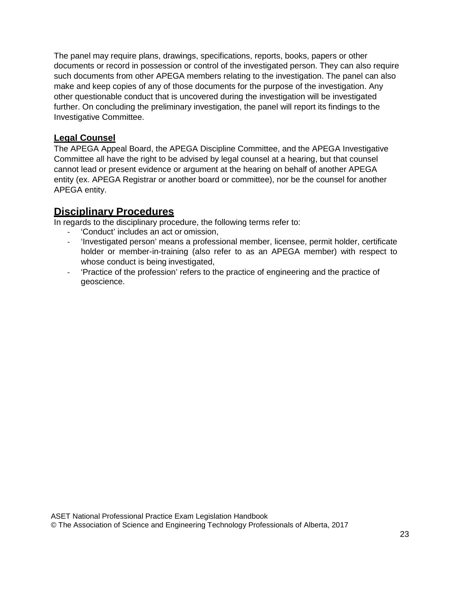The panel may require plans, drawings, specifications, reports, books, papers or other documents or record in possession or control of the investigated person. They can also require such documents from other APEGA members relating to the investigation. The panel can also make and keep copies of any of those documents for the purpose of the investigation. Any other questionable conduct that is uncovered during the investigation will be investigated further. On concluding the preliminary investigation, the panel will report its findings to the Investigative Committee.

#### <span id="page-22-0"></span>**Legal Counsel**

The APEGA Appeal Board, the APEGA Discipline Committee, and the APEGA Investigative Committee all have the right to be advised by legal counsel at a hearing, but that counsel cannot lead or present evidence or argument at the hearing on behalf of another APEGA entity (ex. APEGA Registrar or another board or committee), nor be the counsel for another APEGA entity.

## <span id="page-22-1"></span>**Disciplinary Procedures**

In regards to the disciplinary procedure, the following terms refer to:

- 'Conduct' includes an act or omission,
- 'Investigated person' means a professional member, licensee, permit holder, certificate holder or member-in-training (also refer to as an APEGA member) with respect to whose conduct is being investigated,
- 'Practice of the profession' refers to the practice of engineering and the practice of geoscience.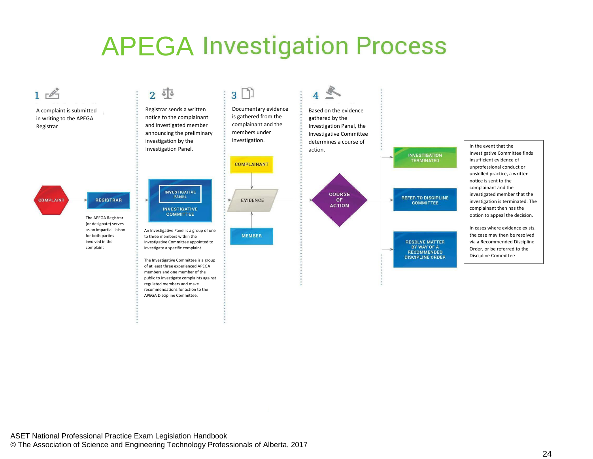## **APEGA Investigation Process**

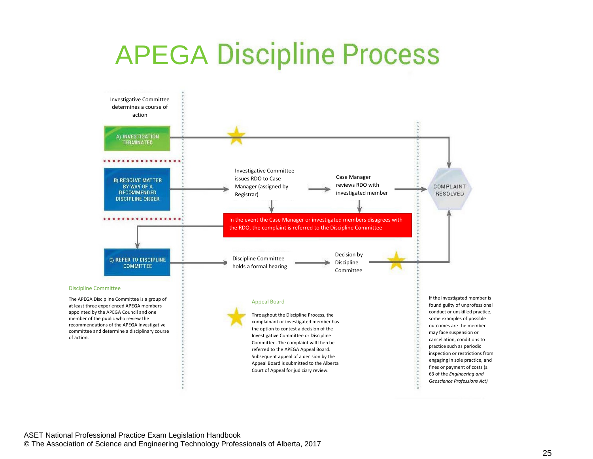# **APEGA Discipline Process**

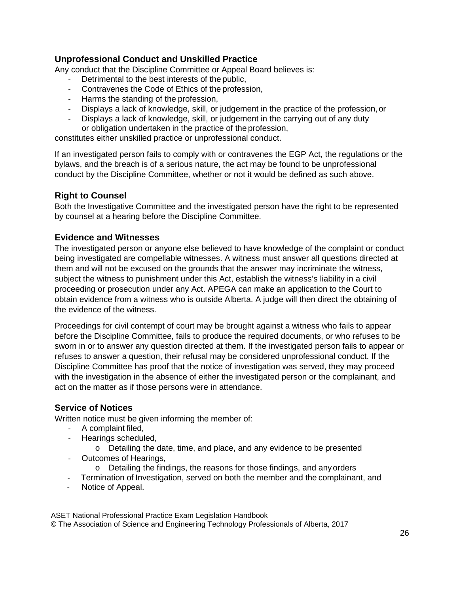#### <span id="page-25-0"></span>**Unprofessional Conduct and Unskilled Practice**

Any conduct that the Discipline Committee or Appeal Board believes is:

- Detrimental to the best interests of the public,
- Contravenes the Code of Ethics of the profession,
- Harms the standing of the profession,
- Displays a lack of knowledge, skill, or judgement in the practice of the profession, or
- Displays a lack of knowledge, skill, or judgement in the carrying out of any duty or obligation undertaken in the practice of the profession,

constitutes either unskilled practice or unprofessional conduct.

If an investigated person fails to comply with or contravenes the EGP Act, the regulations or the bylaws, and the breach is of a serious nature, the act may be found to be unprofessional conduct by the Discipline Committee, whether or not it would be defined as such above.

#### <span id="page-25-1"></span>**Right to Counsel**

Both the Investigative Committee and the investigated person have the right to be represented by counsel at a hearing before the Discipline Committee.

#### <span id="page-25-2"></span>**Evidence and Witnesses**

The investigated person or anyone else believed to have knowledge of the complaint or conduct being investigated are compellable witnesses. A witness must answer all questions directed at them and will not be excused on the grounds that the answer may incriminate the witness, subject the witness to punishment under this Act, establish the witness's liability in a civil proceeding or prosecution under any Act. APEGA can make an application to the Court to obtain evidence from a witness who is outside Alberta. A judge will then direct the obtaining of the evidence of the witness.

Proceedings for civil contempt of court may be brought against a witness who fails to appear before the Discipline Committee, fails to produce the required documents, or who refuses to be sworn in or to answer any question directed at them. If the investigated person fails to appear or refuses to answer a question, their refusal may be considered unprofessional conduct. If the Discipline Committee has proof that the notice of investigation was served, they may proceed with the investigation in the absence of either the investigated person or the complainant, and act on the matter as if those persons were in attendance.

#### <span id="page-25-3"></span>**Service of Notices**

Written notice must be given informing the member of:

- A complaint filed,
- Hearings scheduled,
	- o Detailing the date, time, and place, and any evidence to be presented
- Outcomes of Hearings,
	- o Detailing the findings, the reasons for those findings, and anyorders
- Termination of Investigation, served on both the member and the complainant, and
- Notice of Appeal.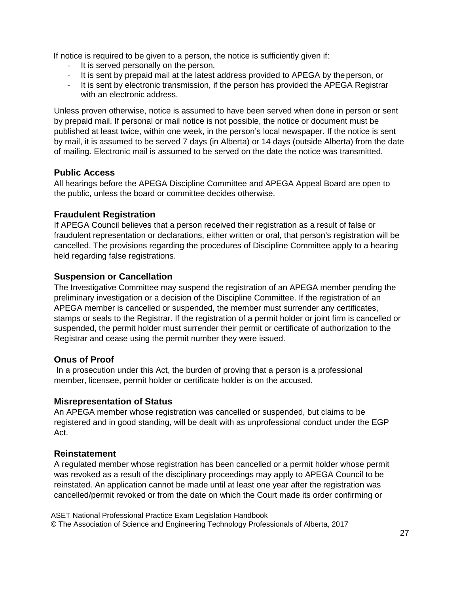If notice is required to be given to a person, the notice is sufficiently given if:

- It is served personally on the person,
- It is sent by prepaid mail at the latest address provided to APEGA by theperson, or
- It is sent by electronic transmission, if the person has provided the APEGA Registrar with an electronic address.

Unless proven otherwise, notice is assumed to have been served when done in person or sent by prepaid mail. If personal or mail notice is not possible, the notice or document must be published at least twice, within one week, in the person's local newspaper. If the notice is sent by mail, it is assumed to be served 7 days (in Alberta) or 14 days (outside Alberta) from the date of mailing. Electronic mail is assumed to be served on the date the notice was transmitted.

#### <span id="page-26-0"></span>**Public Access**

All hearings before the APEGA Discipline Committee and APEGA Appeal Board are open to the public, unless the board or committee decides otherwise.

#### <span id="page-26-1"></span>**Fraudulent Registration**

If APEGA Council believes that a person received their registration as a result of false or fraudulent representation or declarations, either written or oral, that person's registration will be cancelled. The provisions regarding the procedures of Discipline Committee apply to a hearing held regarding false registrations.

#### <span id="page-26-2"></span>**Suspension or Cancellation**

The Investigative Committee may suspend the registration of an APEGA member pending the preliminary investigation or a decision of the Discipline Committee. If the registration of an APEGA member is cancelled or suspended, the member must surrender any certificates, stamps or seals to the Registrar. If the registration of a permit holder or joint firm is cancelled or suspended, the permit holder must surrender their permit or certificate of authorization to the Registrar and cease using the permit number they were issued.

#### <span id="page-26-3"></span>**Onus of Proof**

In a prosecution under this Act, the burden of proving that a person is a professional member, licensee, permit holder or certificate holder is on the accused.

#### <span id="page-26-4"></span>**Misrepresentation of Status**

An APEGA member whose registration was cancelled or suspended, but claims to be registered and in good standing, will be dealt with as unprofessional conduct under the EGP Act.

#### <span id="page-26-5"></span>**Reinstatement**

A regulated member whose registration has been cancelled or a permit holder whose permit was revoked as a result of the disciplinary proceedings may apply to APEGA Council to be reinstated. An application cannot be made until at least one year after the registration was cancelled/permit revoked or from the date on which the Court made its order confirming or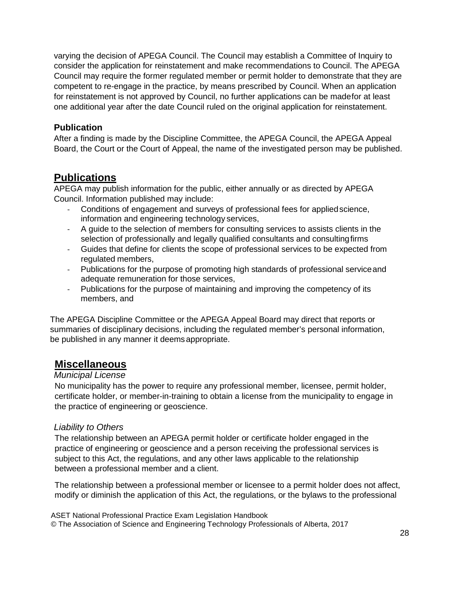varying the decision of APEGA Council. The Council may establish a Committee of Inquiry to consider the application for reinstatement and make recommendations to Council. The APEGA Council may require the former regulated member or permit holder to demonstrate that they are competent to re-engage in the practice, by means prescribed by Council. When an application for reinstatement is not approved by Council, no further applications can be madefor at least one additional year after the date Council ruled on the original application for reinstatement.

#### <span id="page-27-0"></span>**Publication**

After a finding is made by the Discipline Committee, the APEGA Council, the APEGA Appeal Board, the Court or the Court of Appeal, the name of the investigated person may be published.

## <span id="page-27-1"></span>**Publications**

APEGA may publish information for the public, either annually or as directed by APEGA Council. Information published may include:

- Conditions of engagement and surveys of professional fees for applied science, information and engineering technology services,
- A guide to the selection of members for consulting services to assists clients in the selection of professionally and legally qualified consultants and consultingfirms
- Guides that define for clients the scope of professional services to be expected from regulated members,
- Publications for the purpose of promoting high standards of professional serviceand adequate remuneration for those services,
- Publications for the purpose of maintaining and improving the competency of its members, and

The APEGA Discipline Committee or the APEGA Appeal Board may direct that reports or summaries of disciplinary decisions, including the regulated member's personal information, be published in any manner it deemsappropriate.

## <span id="page-27-2"></span>**Miscellaneous**

#### <span id="page-27-3"></span>*Municipal License*

No municipality has the power to require any professional member, licensee, permit holder, certificate holder, or member-in-training to obtain a license from the municipality to engage in the practice of engineering or geoscience.

#### <span id="page-27-4"></span>*Liability to Others*

The relationship between an APEGA permit holder or certificate holder engaged in the practice of engineering or geoscience and a person receiving the professional services is subject to this Act, the regulations, and any other laws applicable to the relationship between a professional member and a client.

The relationship between a professional member or licensee to a permit holder does not affect, modify or diminish the application of this Act, the regulations, or the bylaws to the professional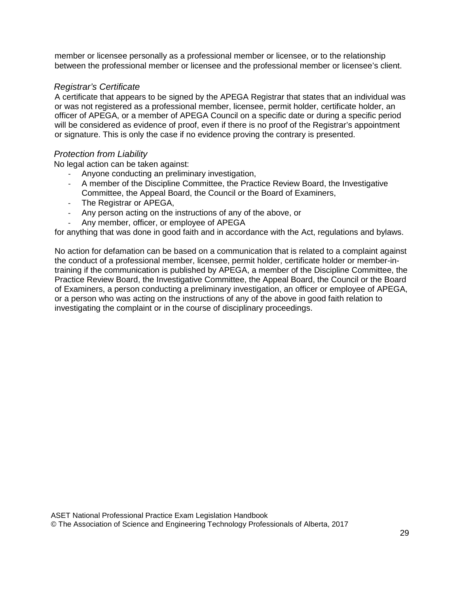member or licensee personally as a professional member or licensee, or to the relationship between the professional member or licensee and the professional member or licensee's client.

#### <span id="page-28-0"></span>*Registrar's Certificate*

A certificate that appears to be signed by the APEGA Registrar that states that an individual was or was not registered as a professional member, licensee, permit holder, certificate holder, an officer of APEGA, or a member of APEGA Council on a specific date or during a specific period will be considered as evidence of proof, even if there is no proof of the Registrar's appointment or signature. This is only the case if no evidence proving the contrary is presented.

#### <span id="page-28-1"></span>*Protection from Liability*

No legal action can be taken against:

- Anyone conducting an preliminary investigation,
- A member of the Discipline Committee, the Practice Review Board, the Investigative Committee, the Appeal Board, the Council or the Board of Examiners,
- The Registrar or APEGA,
- Any person acting on the instructions of any of the above, or
- Any member, officer, or employee of APEGA

for anything that was done in good faith and in accordance with the Act, regulations and bylaws.

No action for defamation can be based on a communication that is related to a complaint against the conduct of a professional member, licensee, permit holder, certificate holder or member-intraining if the communication is published by APEGA, a member of the Discipline Committee, the Practice Review Board, the Investigative Committee, the Appeal Board, the Council or the Board of Examiners, a person conducting a preliminary investigation, an officer or employee of APEGA, or a person who was acting on the instructions of any of the above in good faith relation to investigating the complaint or in the course of disciplinary proceedings.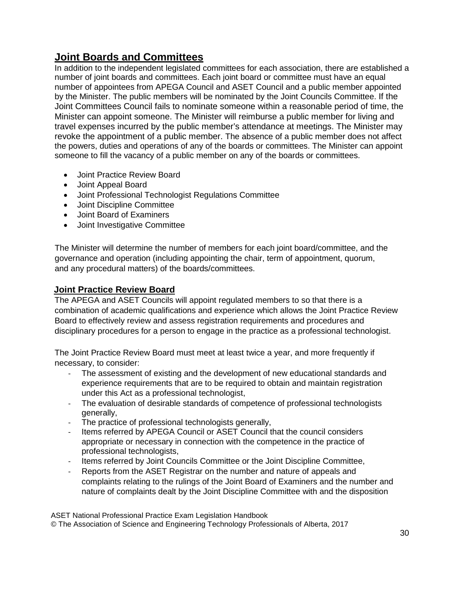## <span id="page-29-0"></span>**Joint Boards and Committees**

In addition to the independent legislated committees for each association, there are established a number of joint boards and committees. Each joint board or committee must have an equal number of appointees from APEGA Council and ASET Council and a public member appointed by the Minister. The public members will be nominated by the Joint Councils Committee. If the Joint Committees Council fails to nominate someone within a reasonable period of time, the Minister can appoint someone. The Minister will reimburse a public member for living and travel expenses incurred by the public member's attendance at meetings. The Minister may revoke the appointment of a public member. The absence of a public member does not affect the powers, duties and operations of any of the boards or committees. The Minister can appoint someone to fill the vacancy of a public member on any of the boards or committees.

- Joint Practice Review Board
- Joint Appeal Board
- Joint Professional Technologist Regulations Committee
- Joint Discipline Committee
- Joint Board of Examiners
- Joint Investigative Committee

The Minister will determine the number of members for each joint board/committee, and the governance and operation (including appointing the chair, term of appointment, quorum, and any procedural matters) of the boards/committees.

#### <span id="page-29-1"></span>**Joint Practice Review Board**

The APEGA and ASET Councils will appoint regulated members to so that there is a combination of academic qualifications and experience which allows the Joint Practice Review Board to effectively review and assess registration requirements and procedures and disciplinary procedures for a person to engage in the practice as a professional technologist.

The Joint Practice Review Board must meet at least twice a year, and more frequently if necessary, to consider:

- The assessment of existing and the development of new educational standards and experience requirements that are to be required to obtain and maintain registration under this Act as a professional technologist,
- The evaluation of desirable standards of competence of professional technologists generally,
- The practice of professional technologists generally,
- Items referred by APEGA Council or ASET Council that the council considers appropriate or necessary in connection with the competence in the practice of professional technologists,
- Items referred by Joint Councils Committee or the Joint Discipline Committee,
- Reports from the ASET Registrar on the number and nature of appeals and complaints relating to the rulings of the Joint Board of Examiners and the number and nature of complaints dealt by the Joint Discipline Committee with and the disposition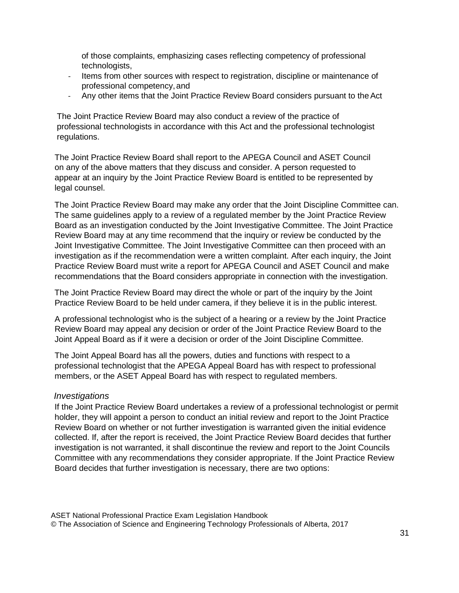of those complaints, emphasizing cases reflecting competency of professional technologists,

- Items from other sources with respect to registration, discipline or maintenance of professional competency,and
- Any other items that the Joint Practice Review Board considers pursuant to the Act

The Joint Practice Review Board may also conduct a review of the practice of professional technologists in accordance with this Act and the professional technologist regulations.

The Joint Practice Review Board shall report to the APEGA Council and ASET Council on any of the above matters that they discuss and consider. A person requested to appear at an inquiry by the Joint Practice Review Board is entitled to be represented by legal counsel.

The Joint Practice Review Board may make any order that the Joint Discipline Committee can. The same guidelines apply to a review of a regulated member by the Joint Practice Review Board as an investigation conducted by the Joint Investigative Committee. The Joint Practice Review Board may at any time recommend that the inquiry or review be conducted by the Joint Investigative Committee. The Joint Investigative Committee can then proceed with an investigation as if the recommendation were a written complaint. After each inquiry, the Joint Practice Review Board must write a report for APEGA Council and ASET Council and make recommendations that the Board considers appropriate in connection with the investigation.

The Joint Practice Review Board may direct the whole or part of the inquiry by the Joint Practice Review Board to be held under camera, if they believe it is in the public interest.

A professional technologist who is the subject of a hearing or a review by the Joint Practice Review Board may appeal any decision or order of the Joint Practice Review Board to the Joint Appeal Board as if it were a decision or order of the Joint Discipline Committee.

The Joint Appeal Board has all the powers, duties and functions with respect to a professional technologist that the APEGA Appeal Board has with respect to professional members, or the ASET Appeal Board has with respect to regulated members.

#### <span id="page-30-0"></span>*Investigations*

If the Joint Practice Review Board undertakes a review of a professional technologist or permit holder, they will appoint a person to conduct an initial review and report to the Joint Practice Review Board on whether or not further investigation is warranted given the initial evidence collected. If, after the report is received, the Joint Practice Review Board decides that further investigation is not warranted, it shall discontinue the review and report to the Joint Councils Committee with any recommendations they consider appropriate. If the Joint Practice Review Board decides that further investigation is necessary, there are two options: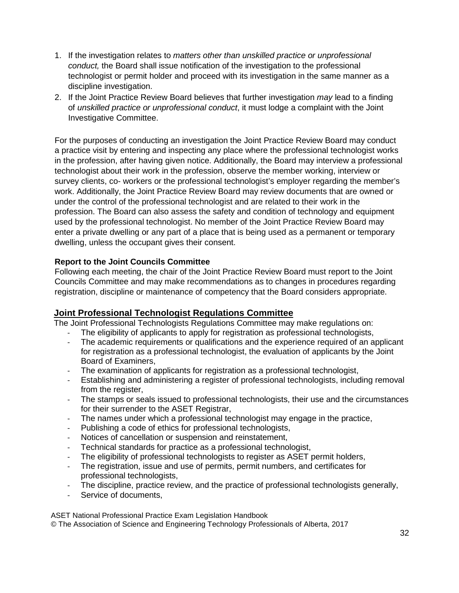- 1. If the investigation relates to *matters other than unskilled practice or unprofessional conduct,* the Board shall issue notification of the investigation to the professional technologist or permit holder and proceed with its investigation in the same manner as a discipline investigation.
- 2. If the Joint Practice Review Board believes that further investigation *may* lead to a finding of *unskilled practice or unprofessional conduct*, it must lodge a complaint with the Joint Investigative Committee.

For the purposes of conducting an investigation the Joint Practice Review Board may conduct a practice visit by entering and inspecting any place where the professional technologist works in the profession, after having given notice. Additionally, the Board may interview a professional technologist about their work in the profession, observe the member working, interview or survey clients, co- workers or the professional technologist's employer regarding the member's work. Additionally, the Joint Practice Review Board may review documents that are owned or under the control of the professional technologist and are related to their work in the profession. The Board can also assess the safety and condition of technology and equipment used by the professional technologist. No member of the Joint Practice Review Board may enter a private dwelling or any part of a place that is being used as a permanent or temporary dwelling, unless the occupant gives their consent.

#### **Report to the Joint Councils Committee**

Following each meeting, the chair of the Joint Practice Review Board must report to the Joint Councils Committee and may make recommendations as to changes in procedures regarding registration, discipline or maintenance of competency that the Board considers appropriate.

#### <span id="page-31-0"></span>**Joint Professional Technologist Regulations Committee**

The Joint Professional Technologists Regulations Committee may make regulations on:

- The eligibility of applicants to apply for registration as professional technologists,
- The academic requirements or qualifications and the experience required of an applicant for registration as a professional technologist, the evaluation of applicants by the Joint Board of Examiners,
- The examination of applicants for registration as a professional technologist,
- Establishing and administering a register of professional technologists, including removal from the register,
- The stamps or seals issued to professional technologists, their use and the circumstances for their surrender to the ASET Registrar.
- The names under which a professional technologist may engage in the practice,
- Publishing a code of ethics for professional technologists,
- Notices of cancellation or suspension and reinstatement,
- Technical standards for practice as a professional technologist,
- The eligibility of professional technologists to register as ASET permit holders,
- The registration, issue and use of permits, permit numbers, and certificates for professional technologists,
- The discipline, practice review, and the practice of professional technologists generally,
- Service of documents,

ASET National Professional Practice Exam Legislation Handbook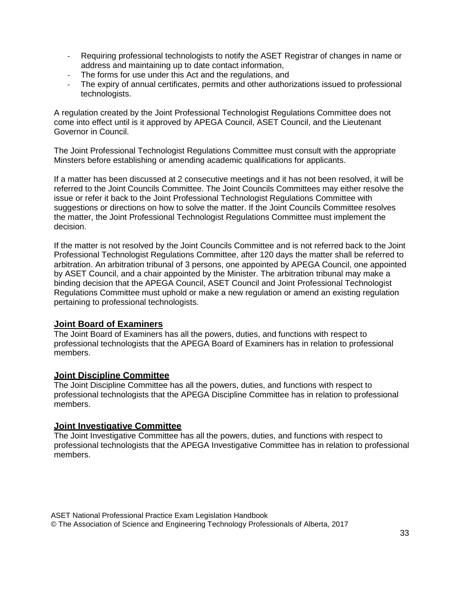- Requiring professional technologists to notify the ASET Registrar of changes in name or address and maintaining up to date contact information,
- The forms for use under this Act and the regulations, and
- The expiry of annual certificates, permits and other authorizations issued to professional technologists.

A regulation created by the Joint Professional Technologist Regulations Committee does not come into effect until is it approved by APEGA Council, ASET Council, and the Lieutenant Governor in Council.

The Joint Professional Technologist Regulations Committee must consult with the appropriate Minsters before establishing or amending academic qualifications for applicants.

If a matter has been discussed at 2 consecutive meetings and it has not been resolved, it will be referred to the Joint Councils Committee. The Joint Councils Committees may either resolve the issue or refer it back to the Joint Professional Technologist Regulations Committee with suggestions or directions on how to solve the matter. If the Joint Councils Committee resolves the matter, the Joint Professional Technologist Regulations Committee must implement the decision.

If the matter is not resolved by the Joint Councils Committee and is not referred back to the Joint Professional Technologist Regulations Committee, after 120 days the matter shall be referred to arbitration. An arbitration tribunal of 3 persons, one appointed by APEGA Council, one appointed by ASET Council, and a chair appointed by the Minister. The arbitration tribunal may make a binding decision that the APEGA Council, ASET Council and Joint Professional Technologist Regulations Committee must uphold or make a new regulation or amend an existing regulation pertaining to professional technologists.

#### <span id="page-32-0"></span>**Joint Board of Examiners**

The Joint Board of Examiners has all the powers, duties, and functions with respect to professional technologists that the APEGA Board of Examiners has in relation to professional members.

## <span id="page-32-1"></span>**Joint Discipline Committee**

The Joint Discipline Committee has all the powers, duties, and functions with respect to professional technologists that the APEGA Discipline Committee has in relation to professional members.

#### <span id="page-32-2"></span>**Joint Investigative Committee**

The Joint Investigative Committee has all the powers, duties, and functions with respect to professional technologists that the APEGA Investigative Committee has in relation to professional members.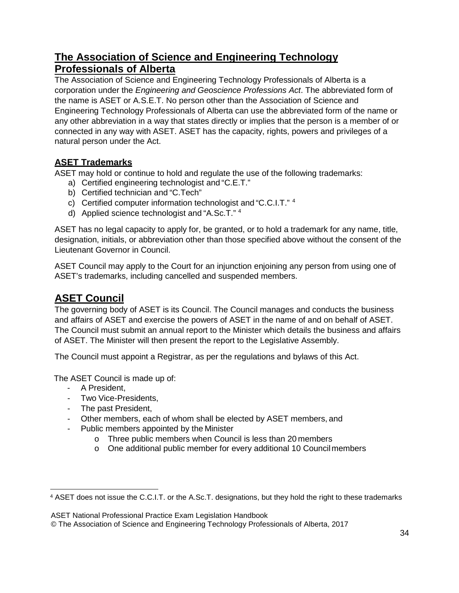## <span id="page-33-0"></span>**The Association of Science and Engineering Technology Professionals of Alberta**

The Association of Science and Engineering Technology Professionals of Alberta is a corporation under the *Engineering and Geoscience Professions Act*. The abbreviated form of the name is ASET or A.S.E.T. No person other than the Association of Science and Engineering Technology Professionals of Alberta can use the abbreviated form of the name or any other abbreviation in a way that states directly or implies that the person is a member of or connected in any way with ASET. ASET has the capacity, rights, powers and privileges of a natural person under the Act.

#### <span id="page-33-1"></span>**ASET Trademarks**

ASET may hold or continue to hold and regulate the use of the following trademarks:

- a) Certified engineering technologist and "C.E.T."
- b) Certified technician and "C.Tech"
- c) Certified computer information technologist and "C.C.I.T." [4](#page-33-3)
- d) Applied science technologist and "A.Sc.T." <sup>4</sup>

ASET has no legal capacity to apply for, be granted, or to hold a trademark for any name, title, designation, initials, or abbreviation other than those specified above without the consent of the Lieutenant Governor in Council.

ASET Council may apply to the Court for an injunction enjoining any person from using one of ASET's trademarks, including cancelled and suspended members.

## <span id="page-33-2"></span>**ASET Council**

The governing body of ASET is its Council. The Council manages and conducts the business and affairs of ASET and exercise the powers of ASET in the name of and on behalf of ASET. The Council must submit an annual report to the Minister which details the business and affairs of ASET. The Minister will then present the report to the Legislative Assembly.

The Council must appoint a Registrar, as per the regulations and bylaws of this Act.

The ASET Council is made up of:

- A President,
- Two Vice-Presidents,
- The past President,
- Other members, each of whom shall be elected by ASET members, and
- Public members appointed by the Minister
	- o Three public members when Council is less than 20 members
	- o One additional public member for every additional 10 Councilmembers

ASET National Professional Practice Exam Legislation Handbook

<span id="page-33-3"></span> <sup>4</sup> ASET does not issue the C.C.I.T. or the A.Sc.T. designations, but they hold the right to these trademarks

<sup>©</sup> The Association of Science and Engineering Technology Professionals of Alberta, 2017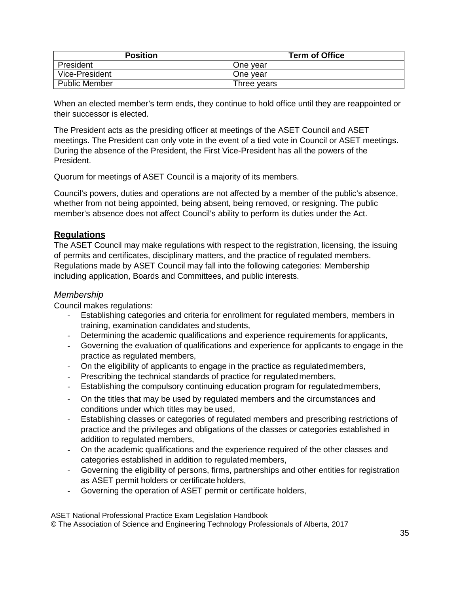| <b>Position</b>      | <b>Term of Office</b> |
|----------------------|-----------------------|
| President            | One year              |
| Vice-President       | One year              |
| <b>Public Member</b> | Three years           |

When an elected member's term ends, they continue to hold office until they are reappointed or their successor is elected.

The President acts as the presiding officer at meetings of the ASET Council and ASET meetings. The President can only vote in the event of a tied vote in Council or ASET meetings. During the absence of the President, the First Vice-President has all the powers of the President.

Quorum for meetings of ASET Council is a majority of its members.

Council's powers, duties and operations are not affected by a member of the public's absence, whether from not being appointed, being absent, being removed, or resigning. The public member's absence does not affect Council's ability to perform its duties under the Act.

#### <span id="page-34-0"></span>**Regulations**

The ASET Council may make regulations with respect to the registration, licensing, the issuing of permits and certificates, disciplinary matters, and the practice of regulated members. Regulations made by ASET Council may fall into the following categories: Membership including application, Boards and Committees, and public interests.

#### <span id="page-34-1"></span>*Membership*

Council makes regulations:

- Establishing categories and criteria for enrollment for regulated members, members in training, examination candidates and students,
- Determining the academic qualifications and experience requirements forapplicants,
- Governing the evaluation of qualifications and experience for applicants to engage in the practice as regulated members,
- On the eligibility of applicants to engage in the practice as regulatedmembers,
- Prescribing the technical standards of practice for regulated members,
- Establishing the compulsory continuing education program for regulated members,
- On the titles that may be used by regulated members and the circumstances and conditions under which titles may be used,
- Establishing classes or categories of regulated members and prescribing restrictions of practice and the privileges and obligations of the classes or categories established in addition to regulated members,
- On the academic qualifications and the experience required of the other classes and categories established in addition to regulated members,
- Governing the eligibility of persons, firms, partnerships and other entities for registration as ASET permit holders or certificate holders,
- Governing the operation of ASET permit or certificate holders,

ASET National Professional Practice Exam Legislation Handbook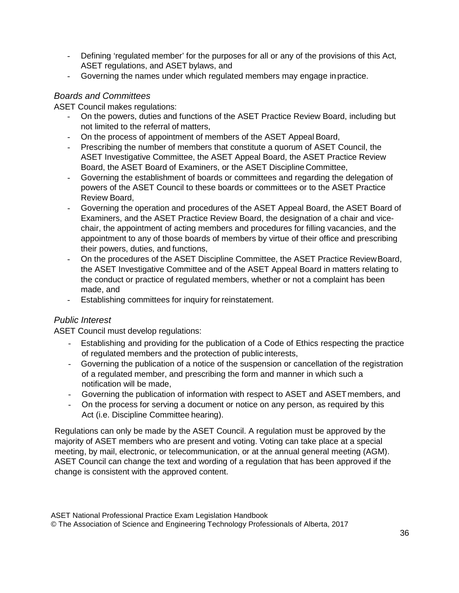- Defining 'regulated member' for the purposes for all or any of the provisions of this Act, ASET regulations, and ASET bylaws, and
- Governing the names under which regulated members may engage in practice.

#### <span id="page-35-0"></span>*Boards and Committees*

ASET Council makes regulations:

- On the powers, duties and functions of the ASET Practice Review Board, including but not limited to the referral of matters,
- On the process of appointment of members of the ASET Appeal Board,
- Prescribing the number of members that constitute a quorum of ASET Council, the ASET Investigative Committee, the ASET Appeal Board, the ASET Practice Review Board, the ASET Board of Examiners, or the ASET Discipline Committee,
- Governing the establishment of boards or committees and regarding the delegation of powers of the ASET Council to these boards or committees or to the ASET Practice Review Board,
- Governing the operation and procedures of the ASET Appeal Board, the ASET Board of Examiners, and the ASET Practice Review Board, the designation of a chair and vicechair, the appointment of acting members and procedures for filling vacancies, and the appointment to any of those boards of members by virtue of their office and prescribing their powers, duties, and functions,
- On the procedures of the ASET Discipline Committee, the ASET Practice ReviewBoard, the ASET Investigative Committee and of the ASET Appeal Board in matters relating to the conduct or practice of regulated members, whether or not a complaint has been made, and
- Establishing committees for inquiry for reinstatement.

#### <span id="page-35-1"></span>*Public Interest*

ASET Council must develop regulations:

- Establishing and providing for the publication of a Code of Ethics respecting the practice of regulated members and the protection of public interests,
- Governing the publication of a notice of the suspension or cancellation of the registration of a regulated member, and prescribing the form and manner in which such a notification will be made,
- Governing the publication of information with respect to ASET and ASETmembers, and
- On the process for serving a document or notice on any person, as required by this Act (i.e. Discipline Committee hearing).

Regulations can only be made by the ASET Council. A regulation must be approved by the majority of ASET members who are present and voting. Voting can take place at a special meeting, by mail, electronic, or telecommunication, or at the annual general meeting (AGM). ASET Council can change the text and wording of a regulation that has been approved if the change is consistent with the approved content.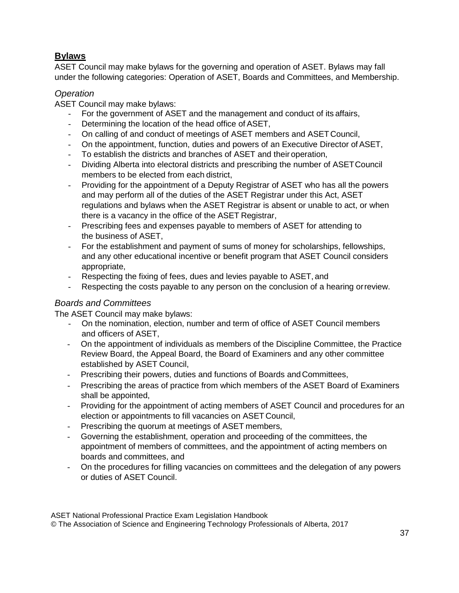## <span id="page-36-0"></span>**Bylaws**

ASET Council may make bylaws for the governing and operation of ASET. Bylaws may fall under the following categories: Operation of ASET, Boards and Committees, and Membership.

#### <span id="page-36-1"></span>*Operation*

ASET Council may make bylaws:

- For the government of ASET and the management and conduct of its affairs,
- Determining the location of the head office of ASET,
- On calling of and conduct of meetings of ASET members and ASET Council,
- On the appointment, function, duties and powers of an Executive Director of ASET,
- To establish the districts and branches of ASET and their operation,
- Dividing Alberta into electoral districts and prescribing the number of ASETCouncil members to be elected from each district,
- Providing for the appointment of a Deputy Registrar of ASET who has all the powers and may perform all of the duties of the ASET Registrar under this Act, ASET regulations and bylaws when the ASET Registrar is absent or unable to act, or when there is a vacancy in the office of the ASET Registrar,
- Prescribing fees and expenses payable to members of ASET for attending to the business of ASET,
- For the establishment and payment of sums of money for scholarships, fellowships, and any other educational incentive or benefit program that ASET Council considers appropriate,
- Respecting the fixing of fees, dues and levies payable to ASET, and
- Respecting the costs payable to any person on the conclusion of a hearing orreview.

#### <span id="page-36-2"></span>*Boards and Committees*

The ASET Council may make bylaws:

- On the nomination, election, number and term of office of ASET Council members and officers of ASET,
- On the appointment of individuals as members of the Discipline Committee, the Practice Review Board, the Appeal Board, the Board of Examiners and any other committee established by ASET Council,
- Prescribing their powers, duties and functions of Boards and Committees,
- Prescribing the areas of practice from which members of the ASET Board of Examiners shall be appointed,
- Providing for the appointment of acting members of ASET Council and procedures for an election or appointments to fill vacancies on ASET Council,
- Prescribing the quorum at meetings of ASET members,
- Governing the establishment, operation and proceeding of the committees, the appointment of members of committees, and the appointment of acting members on boards and committees, and
- On the procedures for filling vacancies on committees and the delegation of any powers or duties of ASET Council.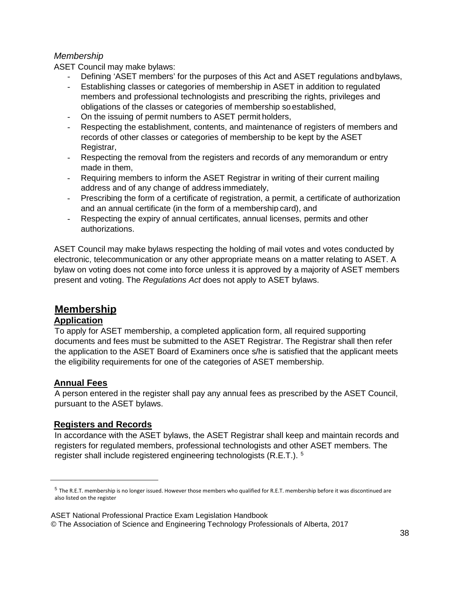#### <span id="page-37-0"></span>*Membership*

ASET Council may make bylaws:

- Defining 'ASET members' for the purposes of this Act and ASET regulations andbylaws,
- Establishing classes or categories of membership in ASET in addition to regulated members and professional technologists and prescribing the rights, privileges and obligations of the classes or categories of membership so established,
- On the issuing of permit numbers to ASET permit holders,
- Respecting the establishment, contents, and maintenance of registers of members and records of other classes or categories of membership to be kept by the ASET Registrar,
- Respecting the removal from the registers and records of any memorandum or entry made in them,
- Requiring members to inform the ASET Registrar in writing of their current mailing address and of any change of address immediately,
- Prescribing the form of a certificate of registration, a permit, a certificate of authorization and an annual certificate (in the form of a membership card), and
- Respecting the expiry of annual certificates, annual licenses, permits and other authorizations.

ASET Council may make bylaws respecting the holding of mail votes and votes conducted by electronic, telecommunication or any other appropriate means on a matter relating to ASET. A bylaw on voting does not come into force unless it is approved by a majority of ASET members present and voting. The *Regulations Act* does not apply to ASET bylaws.

## <span id="page-37-1"></span>**Membership**

#### <span id="page-37-2"></span>**Application**

To apply for ASET membership, a completed application form, all required supporting documents and fees must be submitted to the ASET Registrar. The Registrar shall then refer the application to the ASET Board of Examiners once s/he is satisfied that the applicant meets the eligibility requirements for one of the categories of ASET membership.

#### <span id="page-37-3"></span>**Annual Fees**

<span id="page-37-5"></span><u>.</u>

A person entered in the register shall pay any annual fees as prescribed by the ASET Council, pursuant to the ASET bylaws.

#### <span id="page-37-4"></span>**Registers and Records**

In accordance with the ASET bylaws, the ASET Registrar shall keep and maintain records and registers for regulated members, professional technologists and other ASET members. The register shall include registered engineering technologists (R.E.T.).<sup>[5](#page-37-5)</sup>

<sup>5</sup> The R.E.T. membership is no longer issued. However those members who qualified for R.E.T. membership before it was discontinued are also listed on the register

ASET National Professional Practice Exam Legislation Handbook © The Association of Science and Engineering Technology Professionals of Alberta, 2017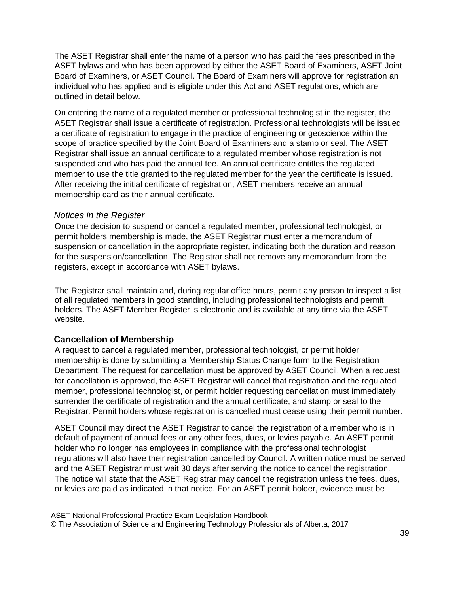The ASET Registrar shall enter the name of a person who has paid the fees prescribed in the ASET bylaws and who has been approved by either the ASET Board of Examiners, ASET Joint Board of Examiners, or ASET Council. The Board of Examiners will approve for registration an individual who has applied and is eligible under this Act and ASET regulations, which are outlined in detail below.

On entering the name of a regulated member or professional technologist in the register, the ASET Registrar shall issue a certificate of registration. Professional technologists will be issued a certificate of registration to engage in the practice of engineering or geoscience within the scope of practice specified by the Joint Board of Examiners and a stamp or seal. The ASET Registrar shall issue an annual certificate to a regulated member whose registration is not suspended and who has paid the annual fee. An annual certificate entitles the regulated member to use the title granted to the regulated member for the year the certificate is issued. After receiving the initial certificate of registration, ASET members receive an annual membership card as their annual certificate.

#### <span id="page-38-0"></span>*Notices in the Register*

Once the decision to suspend or cancel a regulated member, professional technologist, or permit holders membership is made, the ASET Registrar must enter a memorandum of suspension or cancellation in the appropriate register, indicating both the duration and reason for the suspension/cancellation. The Registrar shall not remove any memorandum from the registers, except in accordance with ASET bylaws.

The Registrar shall maintain and, during regular office hours, permit any person to inspect a list of all regulated members in good standing, including professional technologists and permit holders. The ASET Member Register is electronic and is available at any time via the ASET website.

#### <span id="page-38-1"></span>**Cancellation of Membership**

A request to cancel a regulated member, professional technologist, or permit holder membership is done by submitting a Membership Status Change form to the Registration Department. The request for cancellation must be approved by ASET Council. When a request for cancellation is approved, the ASET Registrar will cancel that registration and the regulated member, professional technologist, or permit holder requesting cancellation must immediately surrender the certificate of registration and the annual certificate, and stamp or seal to the Registrar. Permit holders whose registration is cancelled must cease using their permit number.

ASET Council may direct the ASET Registrar to cancel the registration of a member who is in default of payment of annual fees or any other fees, dues, or levies payable. An ASET permit holder who no longer has employees in compliance with the professional technologist regulations will also have their registration cancelled by Council. A written notice must be served and the ASET Registrar must wait 30 days after serving the notice to cancel the registration. The notice will state that the ASET Registrar may cancel the registration unless the fees, dues, or levies are paid as indicated in that notice. For an ASET permit holder, evidence must be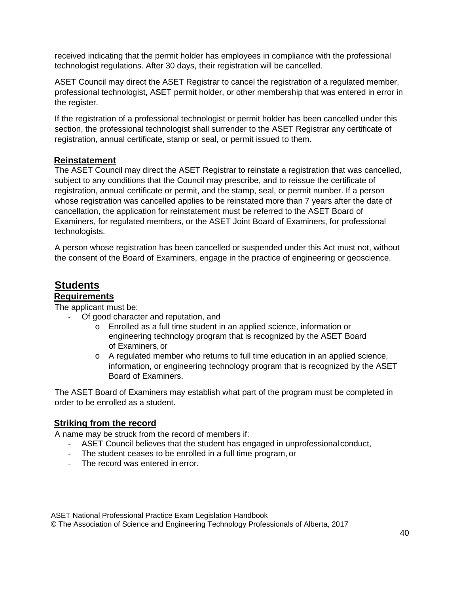received indicating that the permit holder has employees in compliance with the professional technologist regulations. After 30 days, their registration will be cancelled.

ASET Council may direct the ASET Registrar to cancel the registration of a regulated member, professional technologist, ASET permit holder, or other membership that was entered in error in the register.

If the registration of a professional technologist or permit holder has been cancelled under this section, the professional technologist shall surrender to the ASET Registrar any certificate of registration, annual certificate, stamp or seal, or permit issued to them.

#### <span id="page-39-0"></span>**Reinstatement**

The ASET Council may direct the ASET Registrar to reinstate a registration that was cancelled, subject to any conditions that the Council may prescribe, and to reissue the certificate of registration, annual certificate or permit, and the stamp, seal, or permit number. If a person whose registration was cancelled applies to be reinstated more than 7 years after the date of cancellation, the application for reinstatement must be referred to the ASET Board of Examiners, for regulated members, or the ASET Joint Board of Examiners, for professional technologists.

A person whose registration has been cancelled or suspended under this Act must not, without the consent of the Board of Examiners, engage in the practice of engineering or geoscience.

## <span id="page-39-1"></span>**Students**

#### <span id="page-39-2"></span>**Requirements**

The applicant must be:

- Of good character and reputation, and
	- o Enrolled as a full time student in an applied science, information or engineering technology program that is recognized by the ASET Board of Examiners, or
	- o A regulated member who returns to full time education in an applied science, information, or engineering technology program that is recognized by the ASET Board of Examiners.

The ASET Board of Examiners may establish what part of the program must be completed in order to be enrolled as a student.

#### <span id="page-39-3"></span>**Striking from the record**

A name may be struck from the record of members if:

- ASET Council believes that the student has engaged in unprofessional conduct,
- The student ceases to be enrolled in a full time program, or
- The record was entered in error.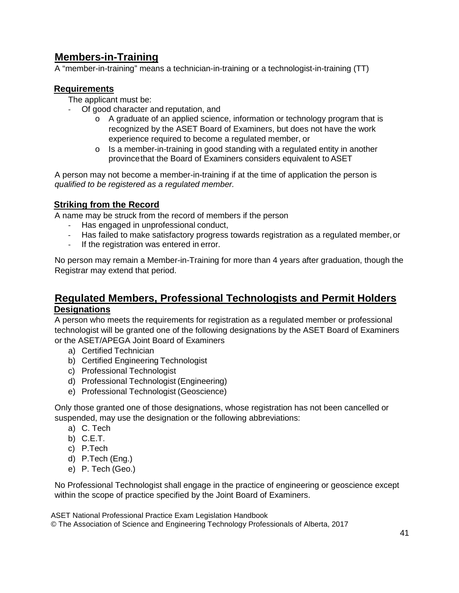## <span id="page-40-0"></span>**Members-in-Training**

A "member-in-training" means a technician-in-training or a technologist-in-training (TT)

#### <span id="page-40-1"></span>**Requirements**

The applicant must be:

- Of good character and reputation, and
	- o A graduate of an applied science, information or technology program that is recognized by the ASET Board of Examiners, but does not have the work experience required to become a regulated member, or
	- o Is a member-in-training in good standing with a regulated entity in another provincethat the Board of Examiners considers equivalent to ASET

A person may not become a member-in-training if at the time of application the person is *qualified to be registered as a regulated member.*

#### <span id="page-40-2"></span>**Striking from the Record**

A name may be struck from the record of members if the person

- Has engaged in unprofessional conduct,
- Has failed to make satisfactory progress towards registration as a regulated member, or
- If the registration was entered in error.

No person may remain a Member-in-Training for more than 4 years after graduation, though the Registrar may extend that period.

#### <span id="page-40-3"></span>**Regulated Members, Professional Technologists and Permit Holders Designations**

<span id="page-40-4"></span>A person who meets the requirements for registration as a regulated member or professional technologist will be granted one of the following designations by the ASET Board of Examiners or the ASET/APEGA Joint Board of Examiners

- a) Certified Technician
- b) Certified Engineering Technologist
- c) Professional Technologist
- d) Professional Technologist (Engineering)
- e) Professional Technologist (Geoscience)

Only those granted one of those designations, whose registration has not been cancelled or suspended, may use the designation or the following abbreviations:

- a) C. Tech
- b) C.E.T.
- c) P.Tech
- d) P.Tech (Eng.)
- e) P. Tech (Geo.)

No Professional Technologist shall engage in the practice of engineering or geoscience except within the scope of practice specified by the Joint Board of Examiners.

ASET National Professional Practice Exam Legislation Handbook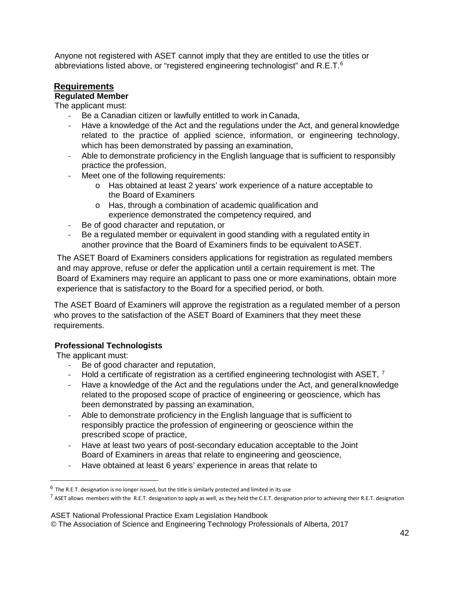Anyone not registered with ASET cannot imply that they are entitled to use the titles or abbreviations listed above, or "registered engineering technologist" and R.E.T.<sup>[6](#page-41-1)</sup>

#### <span id="page-41-0"></span>**Requirements**

#### **Regulated Member**

The applicant must:

- Be a Canadian citizen or lawfully entitled to work in Canada,
- Have a knowledge of the Act and the regulations under the Act, and general knowledge related to the practice of applied science, information, or engineering technology, which has been demonstrated by passing an examination,
- Able to demonstrate proficiency in the English language that is sufficient to responsibly practice the profession,
- Meet one of the following requirements:
	- o Has obtained at least 2 years' work experience of a nature acceptable to the Board of Examiners
	- o Has, through a combination of academic qualification and experience demonstrated the competency required, and
- Be of good character and reputation, or
- Be a regulated member or equivalent in good standing with a regulated entity in another province that the Board of Examiners finds to be equivalent toASET.

The ASET Board of Examiners considers applications for registration as regulated members and may approve, refuse or defer the application until a certain requirement is met. The Board of Examiners may require an applicant to pass one or more examinations, obtain more experience that is satisfactory to the Board for a specified period, or both.

The ASET Board of Examiners will approve the registration as a regulated member of a person who proves to the satisfaction of the ASET Board of Examiners that they meet these requirements.

#### **Professional Technologists**

The applicant must:

- Be of good character and reputation,
- Hold a certificate of registration as a certified engineering technologist with ASET,  $^7$  $^7$
- Have a knowledge of the Act and the regulations under the Act, and generalknowledge related to the proposed scope of practice of engineering or geoscience, which has been demonstrated by passing an examination,
- Able to demonstrate proficiency in the English language that is sufficient to responsibly practice the profession of engineering or geoscience within the prescribed scope of practice,
- Have at least two years of post-secondary education acceptable to the Joint Board of Examiners in areas that relate to engineering and geoscience,
- Have obtained at least 6 years' experience in areas that relate to

ASET National Professional Practice Exam Legislation Handbook

<span id="page-41-1"></span> $6$  The R.E.T. designation is no longer issued, but the title is similarly protected and limited in its use

<span id="page-41-2"></span> $^7$  ASET allows members with the R.E.T. designation to apply as well, as they held the C.E.T. designation prior to achieving their R.E.T. designation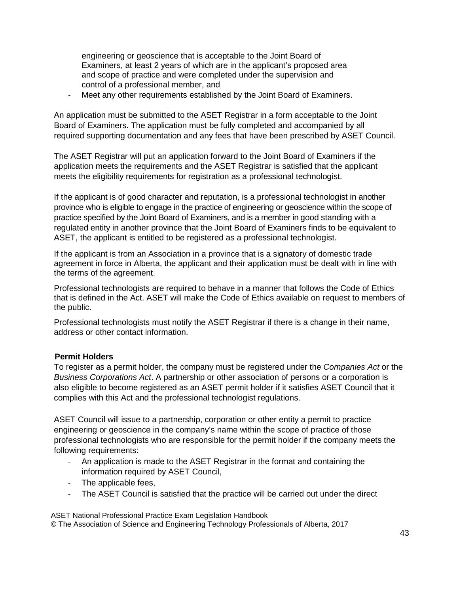engineering or geoscience that is acceptable to the Joint Board of Examiners, at least 2 years of which are in the applicant's proposed area and scope of practice and were completed under the supervision and control of a professional member, and

Meet any other requirements established by the Joint Board of Examiners.

An application must be submitted to the ASET Registrar in a form acceptable to the Joint Board of Examiners. The application must be fully completed and accompanied by all required supporting documentation and any fees that have been prescribed by ASET Council.

The ASET Registrar will put an application forward to the Joint Board of Examiners if the application meets the requirements and the ASET Registrar is satisfied that the applicant meets the eligibility requirements for registration as a professional technologist.

If the applicant is of good character and reputation, is a professional technologist in another province who is eligible to engage in the practice of engineering or geoscience within the scope of practice specified by the Joint Board of Examiners, and is a member in good standing with a regulated entity in another province that the Joint Board of Examiners finds to be equivalent to ASET, the applicant is entitled to be registered as a professional technologist.

If the applicant is from an Association in a province that is a signatory of domestic trade agreement in force in Alberta, the applicant and their application must be dealt with in line with the terms of the agreement.

Professional technologists are required to behave in a manner that follows the Code of Ethics that is defined in the Act. ASET will make the Code of Ethics available on request to members of the public.

Professional technologists must notify the ASET Registrar if there is a change in their name, address or other contact information.

#### **Permit Holders**

To register as a permit holder, the company must be registered under the *Companies Act* or the *Business Corporations Act*. A partnership or other association of persons or a corporation is also eligible to become registered as an ASET permit holder if it satisfies ASET Council that it complies with this Act and the professional technologist regulations.

ASET Council will issue to a partnership, corporation or other entity a permit to practice engineering or geoscience in the company's name within the scope of practice of those professional technologists who are responsible for the permit holder if the company meets the following requirements:

- An application is made to the ASET Registrar in the format and containing the information required by ASET Council,
- The applicable fees.
- The ASET Council is satisfied that the practice will be carried out under the direct

ASET National Professional Practice Exam Legislation Handbook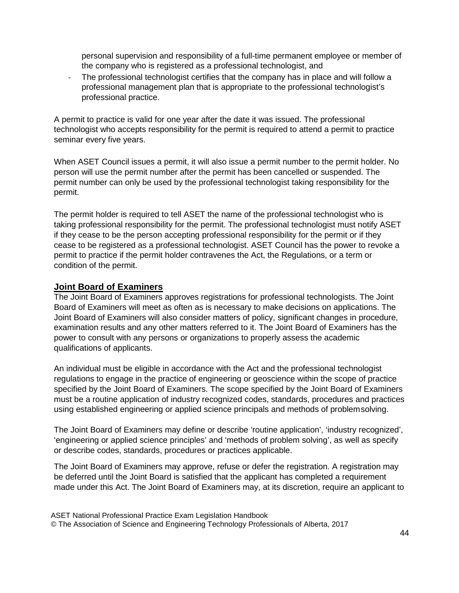personal supervision and responsibility of a full-time permanent employee or member of the company who is registered as a professional technologist, and

- The professional technologist certifies that the company has in place and will follow a professional management plan that is appropriate to the professional technologist's professional practice.

A permit to practice is valid for one year after the date it was issued. The professional technologist who accepts responsibility for the permit is required to attend a permit to practice seminar every five years.

When ASET Council issues a permit, it will also issue a permit number to the permit holder. No person will use the permit number after the permit has been cancelled or suspended. The permit number can only be used by the professional technologist taking responsibility for the permit.

The permit holder is required to tell ASET the name of the professional technologist who is taking professional responsibility for the permit. The professional technologist must notify ASET if they cease to be the person accepting professional responsibility for the permit or if they cease to be registered as a professional technologist. ASET Council has the power to revoke a permit to practice if the permit holder contravenes the Act, the Regulations, or a term or condition of the permit.

#### <span id="page-43-0"></span>**Joint Board of Examiners**

The Joint Board of Examiners approves registrations for professional technologists. The Joint Board of Examiners will meet as often as is necessary to make decisions on applications. The Joint Board of Examiners will also consider matters of policy, significant changes in procedure, examination results and any other matters referred to it. The Joint Board of Examiners has the power to consult with any persons or organizations to properly assess the academic qualifications of applicants.

An individual must be eligible in accordance with the Act and the professional technologist regulations to engage in the practice of engineering or geoscience within the scope of practice specified by the Joint Board of Examiners. The scope specified by the Joint Board of Examiners must be a routine application of industry recognized codes, standards, procedures and practices using established engineering or applied science principals and methods of problemsolving.

The Joint Board of Examiners may define or describe 'routine application', 'industry recognized', 'engineering or applied science principles' and 'methods of problem solving', as well as specify or describe codes, standards, procedures or practices applicable.

The Joint Board of Examiners may approve, refuse or defer the registration. A registration may be deferred until the Joint Board is satisfied that the applicant has completed a requirement made under this Act. The Joint Board of Examiners may, at its discretion, require an applicant to

ASET National Professional Practice Exam Legislation Handbook © The Association of Science and Engineering Technology Professionals of Alberta, 2017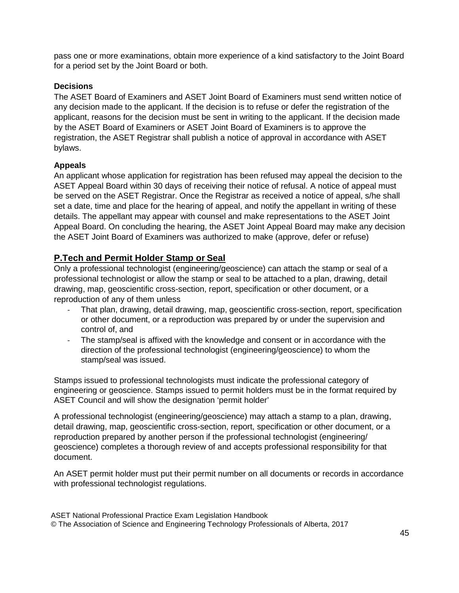pass one or more examinations, obtain more experience of a kind satisfactory to the Joint Board for a period set by the Joint Board or both.

#### **Decisions**

The ASET Board of Examiners and ASET Joint Board of Examiners must send written notice of any decision made to the applicant. If the decision is to refuse or defer the registration of the applicant, reasons for the decision must be sent in writing to the applicant. If the decision made by the ASET Board of Examiners or ASET Joint Board of Examiners is to approve the registration, the ASET Registrar shall publish a notice of approval in accordance with ASET bylaws.

#### **Appeals**

An applicant whose application for registration has been refused may appeal the decision to the ASET Appeal Board within 30 days of receiving their notice of refusal. A notice of appeal must be served on the ASET Registrar. Once the Registrar as received a notice of appeal, s/he shall set a date, time and place for the hearing of appeal, and notify the appellant in writing of these details. The appellant may appear with counsel and make representations to the ASET Joint Appeal Board. On concluding the hearing, the ASET Joint Appeal Board may make any decision the ASET Joint Board of Examiners was authorized to make (approve, defer or refuse)

#### <span id="page-44-0"></span>**P.Tech and Permit Holder Stamp or Seal**

Only a professional technologist (engineering/geoscience) can attach the stamp or seal of a professional technologist or allow the stamp or seal to be attached to a plan, drawing, detail drawing, map, geoscientific cross-section, report, specification or other document, or a reproduction of any of them unless

- That plan, drawing, detail drawing, map, geoscientific cross-section, report, specification or other document, or a reproduction was prepared by or under the supervision and control of, and
- The stamp/seal is affixed with the knowledge and consent or in accordance with the direction of the professional technologist (engineering/geoscience) to whom the stamp/seal was issued.

Stamps issued to professional technologists must indicate the professional category of engineering or geoscience. Stamps issued to permit holders must be in the format required by ASET Council and will show the designation 'permit holder'

A professional technologist (engineering/geoscience) may attach a stamp to a plan, drawing, detail drawing, map, geoscientific cross-section, report, specification or other document, or a reproduction prepared by another person if the professional technologist (engineering/ geoscience) completes a thorough review of and accepts professional responsibility for that document.

An ASET permit holder must put their permit number on all documents or records in accordance with professional technologist regulations.

ASET National Professional Practice Exam Legislation Handbook © The Association of Science and Engineering Technology Professionals of Alberta, 2017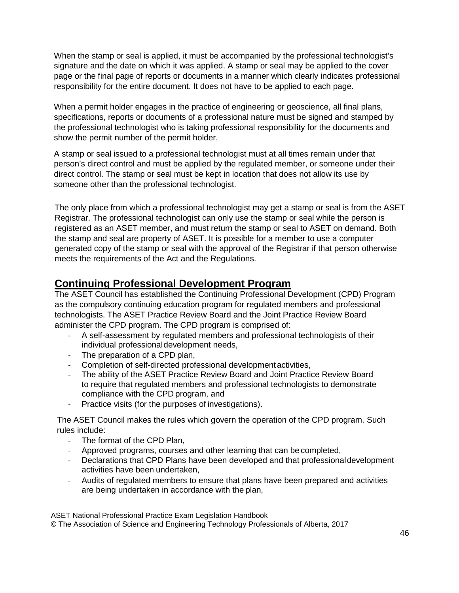When the stamp or seal is applied, it must be accompanied by the professional technologist's signature and the date on which it was applied. A stamp or seal may be applied to the cover page or the final page of reports or documents in a manner which clearly indicates professional responsibility for the entire document. It does not have to be applied to each page.

When a permit holder engages in the practice of engineering or geoscience, all final plans, specifications, reports or documents of a professional nature must be signed and stamped by the professional technologist who is taking professional responsibility for the documents and show the permit number of the permit holder.

A stamp or seal issued to a professional technologist must at all times remain under that person's direct control and must be applied by the regulated member, or someone under their direct control. The stamp or seal must be kept in location that does not allow its use by someone other than the professional technologist.

The only place from which a professional technologist may get a stamp or seal is from the ASET Registrar. The professional technologist can only use the stamp or seal while the person is registered as an ASET member, and must return the stamp or seal to ASET on demand. Both the stamp and seal are property of ASET. It is possible for a member to use a computer generated copy of the stamp or seal with the approval of the Registrar if that person otherwise meets the requirements of the Act and the Regulations.

## <span id="page-45-0"></span>**Continuing Professional Development Program**

The ASET Council has established the Continuing Professional Development (CPD) Program as the compulsory continuing education program for regulated members and professional technologists. The ASET Practice Review Board and the Joint Practice Review Board administer the CPD program. The CPD program is comprised of:

- A self-assessment by regulated members and professional technologists of their individual professionaldevelopment needs,
- The preparation of a CPD plan,
- Completion of self-directed professional developmentactivities,
- The ability of the ASET Practice Review Board and Joint Practice Review Board to require that regulated members and professional technologists to demonstrate compliance with the CPD program, and
- Practice visits (for the purposes of investigations).

The ASET Council makes the rules which govern the operation of the CPD program. Such rules include:

- The format of the CPD Plan,
- Approved programs, courses and other learning that can be completed,
- Declarations that CPD Plans have been developed and that professionaldevelopment activities have been undertaken,
- Audits of regulated members to ensure that plans have been prepared and activities are being undertaken in accordance with the plan,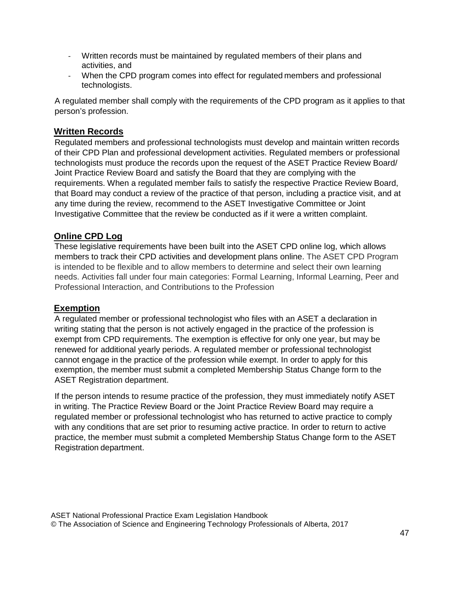- Written records must be maintained by regulated members of their plans and activities, and
- When the CPD program comes into effect for regulated members and professional technologists.

A regulated member shall comply with the requirements of the CPD program as it applies to that person's profession.

#### <span id="page-46-0"></span>**Written Records**

Regulated members and professional technologists must develop and maintain written records of their CPD Plan and professional development activities. Regulated members or professional technologists must produce the records upon the request of the ASET Practice Review Board/ Joint Practice Review Board and satisfy the Board that they are complying with the requirements. When a regulated member fails to satisfy the respective Practice Review Board, that Board may conduct a review of the practice of that person, including a practice visit, and at any time during the review, recommend to the ASET Investigative Committee or Joint Investigative Committee that the review be conducted as if it were a written complaint.

#### <span id="page-46-1"></span>**Online CPD Log**

These legislative requirements have been built into the ASET CPD online log, which allows members to track their CPD activities and development plans online. The ASET CPD Program is intended to be flexible and to allow members to determine and select their own learning needs. Activities fall under four main categories: Formal Learning, Informal Learning, Peer and Professional Interaction, and Contributions to the Profession

#### <span id="page-46-2"></span>**Exemption**

A regulated member or professional technologist who files with an ASET a declaration in writing stating that the person is not actively engaged in the practice of the profession is exempt from CPD requirements. The exemption is effective for only one year, but may be renewed for additional yearly periods. A regulated member or professional technologist cannot engage in the practice of the profession while exempt. In order to apply for this exemption, the member must submit a completed Membership Status Change form to the ASET Registration department.

<span id="page-46-3"></span>If the person intends to resume practice of the profession, they must immediately notify ASET in writing. The Practice Review Board or the Joint Practice Review Board may require a regulated member or professional technologist who has returned to active practice to comply with any conditions that are set prior to resuming active practice. In order to return to active practice, the member must submit a completed Membership Status Change form to the ASET Registration department.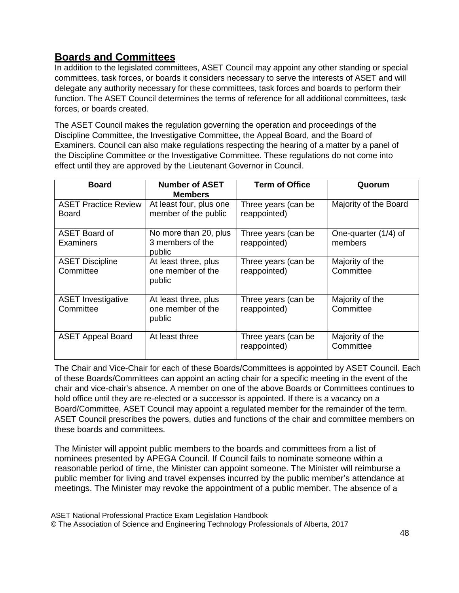## **Boards and Committees**

In addition to the legislated committees, ASET Council may appoint any other standing or special committees, task forces, or boards it considers necessary to serve the interests of ASET and will delegate any authority necessary for these committees, task forces and boards to perform their function. The ASET Council determines the terms of reference for all additional committees, task forces, or boards created.

The ASET Council makes the regulation governing the operation and proceedings of the Discipline Committee, the Investigative Committee, the Appeal Board, and the Board of Examiners. Council can also make regulations respecting the hearing of a matter by a panel of the Discipline Committee or the Investigative Committee. These regulations do not come into effect until they are approved by the Lieutenant Governor in Council.

| <b>Board</b>                           | <b>Number of ASET</b><br><b>Members</b>             | <b>Term of Office</b>               | Quorum                          |
|----------------------------------------|-----------------------------------------------------|-------------------------------------|---------------------------------|
| <b>ASET Practice Review</b><br>Board   | At least four, plus one<br>member of the public     | Three years (can be<br>reappointed) | Majority of the Board           |
| ASET Board of<br>Examiners             | No more than 20, plus<br>3 members of the<br>public | Three years (can be<br>reappointed) | One-quarter (1/4) of<br>members |
| <b>ASET Discipline</b><br>Committee    | At least three, plus<br>one member of the<br>public | Three years (can be<br>reappointed) | Majority of the<br>Committee    |
| <b>ASET Investigative</b><br>Committee | At least three, plus<br>one member of the<br>public | Three years (can be<br>reappointed) | Majority of the<br>Committee    |
| <b>ASET Appeal Board</b>               | At least three                                      | Three years (can be<br>reappointed) | Majority of the<br>Committee    |

The Chair and Vice-Chair for each of these Boards/Committees is appointed by ASET Council. Each of these Boards/Committees can appoint an acting chair for a specific meeting in the event of the chair and vice-chair's absence. A member on one of the above Boards or Committees continues to hold office until they are re-elected or a successor is appointed. If there is a vacancy on a Board/Committee, ASET Council may appoint a regulated member for the remainder of the term. ASET Council prescribes the powers, duties and functions of the chair and committee members on these boards and committees.

The Minister will appoint public members to the boards and committees from a list of nominees presented by APEGA Council. If Council fails to nominate someone within a reasonable period of time, the Minister can appoint someone. The Minister will reimburse a public member for living and travel expenses incurred by the public member's attendance at meetings. The Minister may revoke the appointment of a public member. The absence of a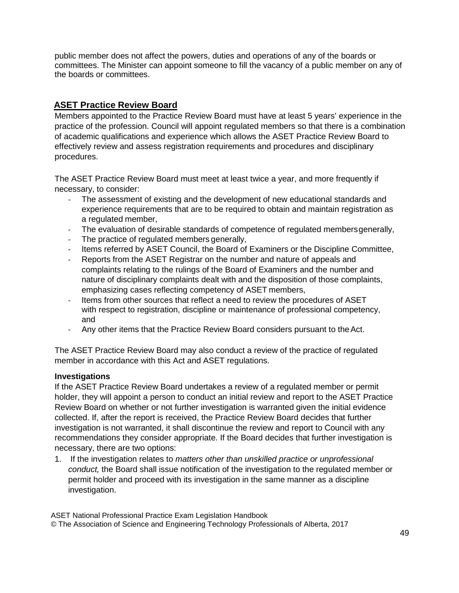public member does not affect the powers, duties and operations of any of the boards or committees. The Minister can appoint someone to fill the vacancy of a public member on any of the boards or committees.

#### <span id="page-48-0"></span>**ASET Practice Review Board**

Members appointed to the Practice Review Board must have at least 5 years' experience in the practice of the profession. Council will appoint regulated members so that there is a combination of academic qualifications and experience which allows the ASET Practice Review Board to effectively review and assess registration requirements and procedures and disciplinary procedures.

The ASET Practice Review Board must meet at least twice a year, and more frequently if necessary, to consider:

- The assessment of existing and the development of new educational standards and experience requirements that are to be required to obtain and maintain registration as a regulated member,
- The evaluation of desirable standards of competence of regulated members generally,
- The practice of regulated members generally,
- Items referred by ASET Council, the Board of Examiners or the Discipline Committee,
- Reports from the ASET Registrar on the number and nature of appeals and complaints relating to the rulings of the Board of Examiners and the number and nature of disciplinary complaints dealt with and the disposition of those complaints, emphasizing cases reflecting competency of ASET members,
- Items from other sources that reflect a need to review the procedures of ASET with respect to registration, discipline or maintenance of professional competency, and
- Any other items that the Practice Review Board considers pursuant to the Act.

The ASET Practice Review Board may also conduct a review of the practice of regulated member in accordance with this Act and ASET regulations.

#### **Investigations**

If the ASET Practice Review Board undertakes a review of a regulated member or permit holder, they will appoint a person to conduct an initial review and report to the ASET Practice Review Board on whether or not further investigation is warranted given the initial evidence collected. If, after the report is received, the Practice Review Board decides that further investigation is not warranted, it shall discontinue the review and report to Council with any recommendations they consider appropriate. If the Board decides that further investigation is necessary, there are two options:

1. If the investigation relates to *matters other than unskilled practice or unprofessional conduct,* the Board shall issue notification of the investigation to the regulated member or permit holder and proceed with its investigation in the same manner as a discipline investigation.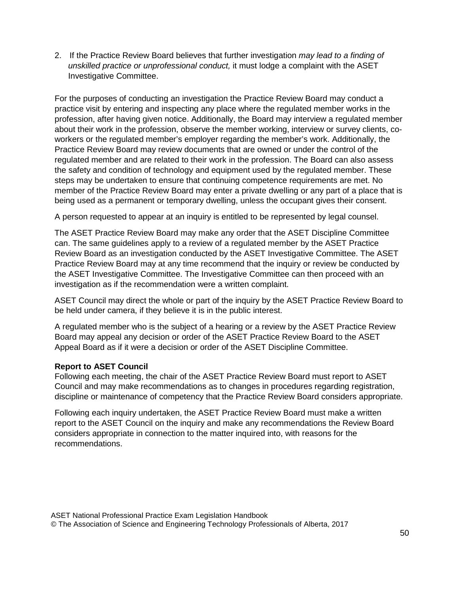2. If the Practice Review Board believes that further investigation *may lead to a finding of unskilled practice or unprofessional conduct,* it must lodge a complaint with the ASET Investigative Committee.

For the purposes of conducting an investigation the Practice Review Board may conduct a practice visit by entering and inspecting any place where the regulated member works in the profession, after having given notice. Additionally, the Board may interview a regulated member about their work in the profession, observe the member working, interview or survey clients, coworkers or the regulated member's employer regarding the member's work. Additionally, the Practice Review Board may review documents that are owned or under the control of the regulated member and are related to their work in the profession. The Board can also assess the safety and condition of technology and equipment used by the regulated member. These steps may be undertaken to ensure that continuing competence requirements are met. No member of the Practice Review Board may enter a private dwelling or any part of a place that is being used as a permanent or temporary dwelling, unless the occupant gives their consent.

A person requested to appear at an inquiry is entitled to be represented by legal counsel.

The ASET Practice Review Board may make any order that the ASET Discipline Committee can. The same guidelines apply to a review of a regulated member by the ASET Practice Review Board as an investigation conducted by the ASET Investigative Committee. The ASET Practice Review Board may at any time recommend that the inquiry or review be conducted by the ASET Investigative Committee. The Investigative Committee can then proceed with an investigation as if the recommendation were a written complaint.

ASET Council may direct the whole or part of the inquiry by the ASET Practice Review Board to be held under camera, if they believe it is in the public interest.

A regulated member who is the subject of a hearing or a review by the ASET Practice Review Board may appeal any decision or order of the ASET Practice Review Board to the ASET Appeal Board as if it were a decision or order of the ASET Discipline Committee.

#### **Report to ASET Council**

Following each meeting, the chair of the ASET Practice Review Board must report to ASET Council and may make recommendations as to changes in procedures regarding registration, discipline or maintenance of competency that the Practice Review Board considers appropriate.

<span id="page-49-0"></span>Following each inquiry undertaken, the ASET Practice Review Board must make a written report to the ASET Council on the inquiry and make any recommendations the Review Board considers appropriate in connection to the matter inquired into, with reasons for the recommendations.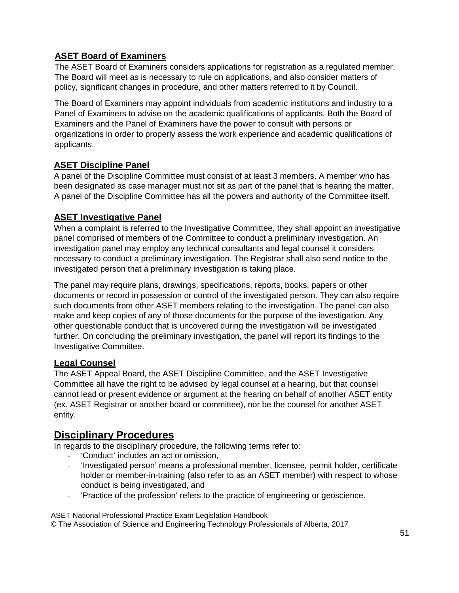#### **ASET Board of Examiners**

The ASET Board of Examiners considers applications for registration as a regulated member. The Board will meet as is necessary to rule on applications, and also consider matters of policy, significant changes in procedure, and other matters referred to it by Council.

The Board of Examiners may appoint individuals from academic institutions and industry to a Panel of Examiners to advise on the academic qualifications of applicants. Both the Board of Examiners and the Panel of Examiners have the power to consult with persons or organizations in order to properly assess the work experience and academic qualifications of applicants.

#### <span id="page-50-0"></span>**ASET Discipline Panel**

A panel of the Discipline Committee must consist of at least 3 members. A member who has been designated as case manager must not sit as part of the panel that is hearing the matter. A panel of the Discipline Committee has all the powers and authority of the Committee itself.

#### <span id="page-50-1"></span>**ASET Investigative Panel**

When a complaint is referred to the Investigative Committee, they shall appoint an investigative panel comprised of members of the Committee to conduct a preliminary investigation. An investigation panel may employ any technical consultants and legal counsel it considers necessary to conduct a preliminary investigation. The Registrar shall also send notice to the investigated person that a preliminary investigation is taking place.

The panel may require plans, drawings, specifications, reports, books, papers or other documents or record in possession or control of the investigated person. They can also require such documents from other ASET members relating to the investigation. The panel can also make and keep copies of any of those documents for the purpose of the investigation. Any other questionable conduct that is uncovered during the investigation will be investigated further. On concluding the preliminary investigation, the panel will report its findings to the Investigative Committee.

#### <span id="page-50-2"></span>**Legal Counsel**

The ASET Appeal Board, the ASET Discipline Committee, and the ASET Investigative Committee all have the right to be advised by legal counsel at a hearing, but that counsel cannot lead or present evidence or argument at the hearing on behalf of another ASET entity (ex. ASET Registrar or another board or committee), nor be the counsel for another ASET entity.

## <span id="page-50-3"></span>**Disciplinary Procedures**

In regards to the disciplinary procedure, the following terms refer to:

- 'Conduct' includes an act or omission,
- 'Investigated person' means a professional member, licensee, permit holder, certificate holder or member-in-training (also refer to as an ASET member) with respect to whose conduct is being investigated, and
- 'Practice of the profession' refers to the practice of engineering or geoscience.

ASET National Professional Practice Exam Legislation Handbook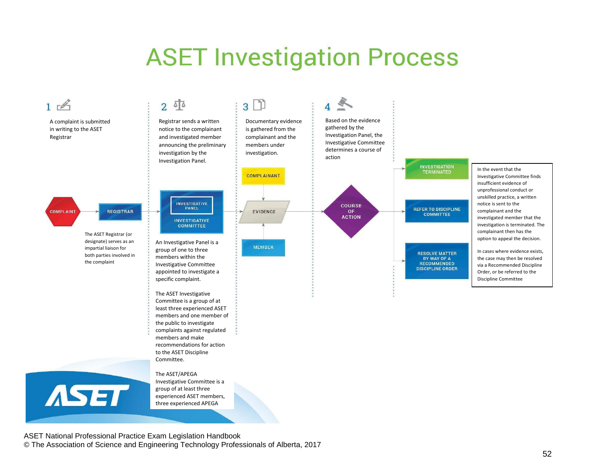## **ASET Investigation Process**

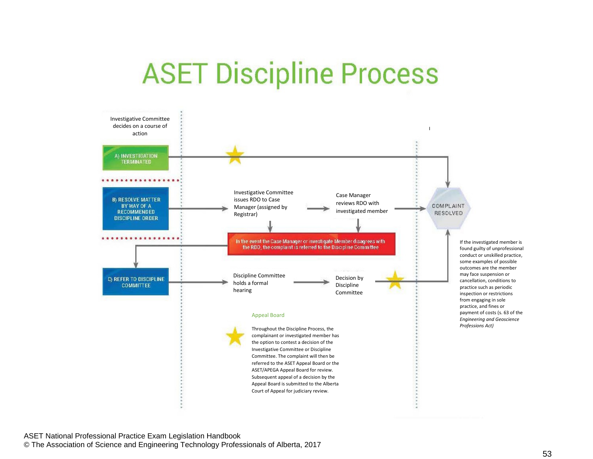# **ASET Discipline Process**

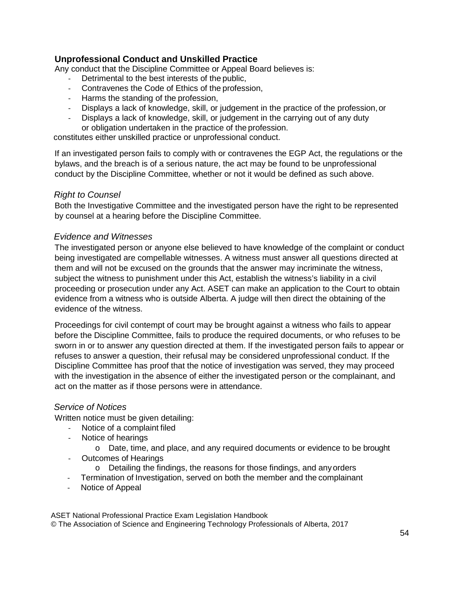#### <span id="page-53-0"></span>**Unprofessional Conduct and Unskilled Practice**

Any conduct that the Discipline Committee or Appeal Board believes is:

- Detrimental to the best interests of the public,
- Contravenes the Code of Ethics of the profession,
- Harms the standing of the profession,
- Displays a lack of knowledge, skill, or judgement in the practice of the profession,or
- Displays a lack of knowledge, skill, or judgement in the carrying out of any duty or obligation undertaken in the practice of the profession.

constitutes either unskilled practice or unprofessional conduct.

If an investigated person fails to comply with or contravenes the EGP Act, the regulations or the bylaws, and the breach is of a serious nature, the act may be found to be unprofessional conduct by the Discipline Committee, whether or not it would be defined as such above.

#### <span id="page-53-1"></span>*Right to Counsel*

Both the Investigative Committee and the investigated person have the right to be represented by counsel at a hearing before the Discipline Committee.

#### <span id="page-53-2"></span>*Evidence and Witnesses*

The investigated person or anyone else believed to have knowledge of the complaint or conduct being investigated are compellable witnesses. A witness must answer all questions directed at them and will not be excused on the grounds that the answer may incriminate the witness, subject the witness to punishment under this Act, establish the witness's liability in a civil proceeding or prosecution under any Act. ASET can make an application to the Court to obtain evidence from a witness who is outside Alberta. A judge will then direct the obtaining of the evidence of the witness.

Proceedings for civil contempt of court may be brought against a witness who fails to appear before the Discipline Committee, fails to produce the required documents, or who refuses to be sworn in or to answer any question directed at them. If the investigated person fails to appear or refuses to answer a question, their refusal may be considered unprofessional conduct. If the Discipline Committee has proof that the notice of investigation was served, they may proceed with the investigation in the absence of either the investigated person or the complainant, and act on the matter as if those persons were in attendance.

#### <span id="page-53-3"></span>*Service of Notices*

Written notice must be given detailing:

- Notice of a complaint filed
- Notice of hearings
	- o Date, time, and place, and any required documents or evidence to be brought
- Outcomes of Hearings
	- o Detailing the findings, the reasons for those findings, and anyorders
- Termination of Investigation, served on both the member and the complainant
- Notice of Appeal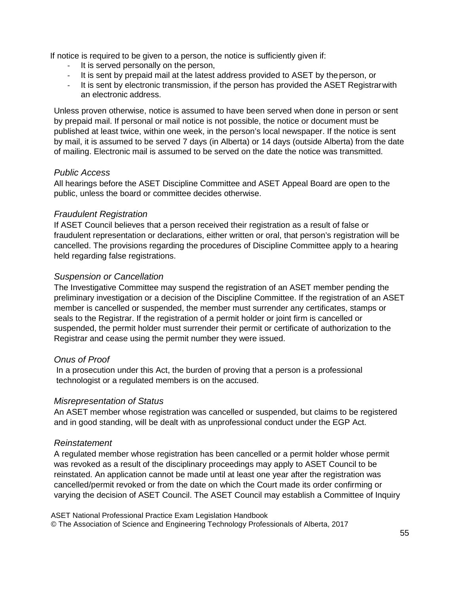If notice is required to be given to a person, the notice is sufficiently given if:

- It is served personally on the person,
- It is sent by prepaid mail at the latest address provided to ASET by theperson, or
- It is sent by electronic transmission, if the person has provided the ASET Registrarwith an electronic address.

Unless proven otherwise, notice is assumed to have been served when done in person or sent by prepaid mail. If personal or mail notice is not possible, the notice or document must be published at least twice, within one week, in the person's local newspaper. If the notice is sent by mail, it is assumed to be served 7 days (in Alberta) or 14 days (outside Alberta) from the date of mailing. Electronic mail is assumed to be served on the date the notice was transmitted.

#### <span id="page-54-0"></span>*Public Access*

All hearings before the ASET Discipline Committee and ASET Appeal Board are open to the public, unless the board or committee decides otherwise.

#### <span id="page-54-1"></span>*Fraudulent Registration*

If ASET Council believes that a person received their registration as a result of false or fraudulent representation or declarations, either written or oral, that person's registration will be cancelled. The provisions regarding the procedures of Discipline Committee apply to a hearing held regarding false registrations.

#### <span id="page-54-2"></span>*Suspension or Cancellation*

The Investigative Committee may suspend the registration of an ASET member pending the preliminary investigation or a decision of the Discipline Committee. If the registration of an ASET member is cancelled or suspended, the member must surrender any certificates, stamps or seals to the Registrar. If the registration of a permit holder or joint firm is cancelled or suspended, the permit holder must surrender their permit or certificate of authorization to the Registrar and cease using the permit number they were issued.

#### <span id="page-54-3"></span>*Onus of Proof*

In a prosecution under this Act, the burden of proving that a person is a professional technologist or a regulated members is on the accused.

#### <span id="page-54-4"></span>*Misrepresentation of Status*

An ASET member whose registration was cancelled or suspended, but claims to be registered and in good standing, will be dealt with as unprofessional conduct under the EGP Act.

#### <span id="page-54-5"></span>*Reinstatement*

A regulated member whose registration has been cancelled or a permit holder whose permit was revoked as a result of the disciplinary proceedings may apply to ASET Council to be reinstated. An application cannot be made until at least one year after the registration was cancelled/permit revoked or from the date on which the Court made its order confirming or varying the decision of ASET Council. The ASET Council may establish a Committee of Inquiry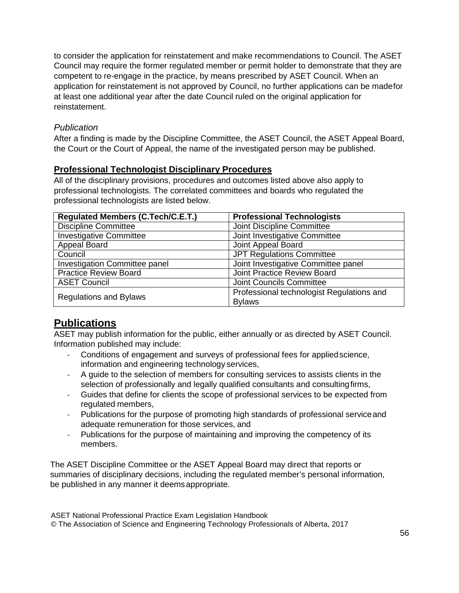to consider the application for reinstatement and make recommendations to Council. The ASET Council may require the former regulated member or permit holder to demonstrate that they are competent to re-engage in the practice, by means prescribed by ASET Council. When an application for reinstatement is not approved by Council, no further applications can be madefor at least one additional year after the date Council ruled on the original application for reinstatement.

#### <span id="page-55-0"></span>*Publication*

After a finding is made by the Discipline Committee, the ASET Council, the ASET Appeal Board, the Court or the Court of Appeal, the name of the investigated person may be published.

#### <span id="page-55-1"></span>**Professional Technologist Disciplinary Procedures**

All of the disciplinary provisions, procedures and outcomes listed above also apply to professional technologists. The correlated committees and boards who regulated the professional technologists are listed below.

| <b>Regulated Members (C.Tech/C.E.T.)</b> | <b>Professional Technologists</b>         |
|------------------------------------------|-------------------------------------------|
| <b>Discipline Committee</b>              | <b>Joint Discipline Committee</b>         |
| <b>Investigative Committee</b>           | Joint Investigative Committee             |
| Appeal Board                             | Joint Appeal Board                        |
| Council                                  | <b>JPT Regulations Committee</b>          |
| <b>Investigation Committee panel</b>     | Joint Investigative Committee panel       |
| <b>Practice Review Board</b>             | <b>Joint Practice Review Board</b>        |
| <b>ASET Council</b>                      | <b>Joint Councils Committee</b>           |
|                                          | Professional technologist Regulations and |
| <b>Regulations and Bylaws</b>            | <b>Bylaws</b>                             |

## <span id="page-55-2"></span>**Publications**

ASET may publish information for the public, either annually or as directed by ASET Council. Information published may include:

- Conditions of engagement and surveys of professional fees for applied science, information and engineering technology services,
- A guide to the selection of members for consulting services to assists clients in the selection of professionally and legally qualified consultants and consultingfirms,
- Guides that define for clients the scope of professional services to be expected from regulated members,
- Publications for the purpose of promoting high standards of professional serviceand adequate remuneration for those services, and
- Publications for the purpose of maintaining and improving the competency of its members.

The ASET Discipline Committee or the ASET Appeal Board may direct that reports or summaries of disciplinary decisions, including the regulated member's personal information, be published in any manner it deemsappropriate.